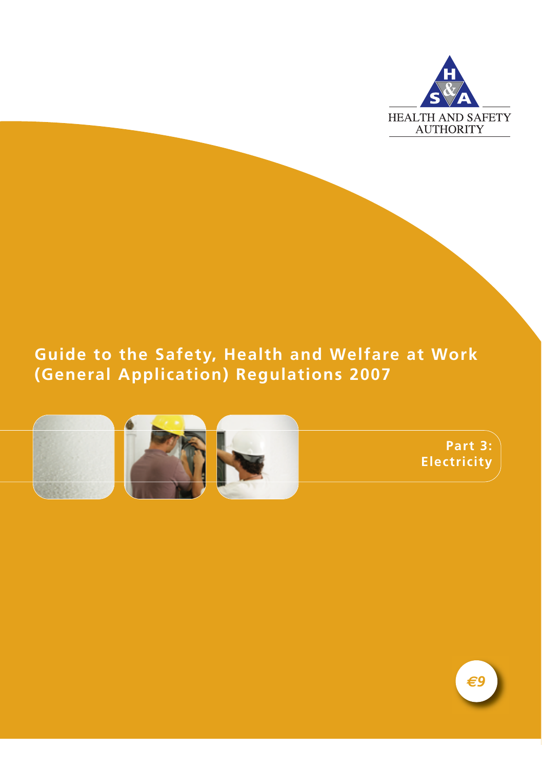

# **Guide to the Safety, Health and Welfare at Work (General Application) Regulations 2007**



**Part 3: Electricity**

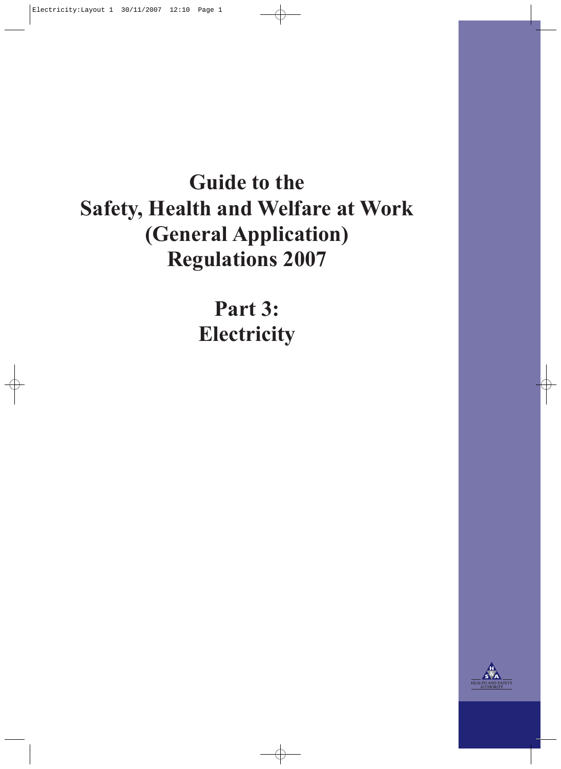# **Guide to the Safety, Health and Welfare at Work (General Application) Regulations 2007**

**Part 3: Electricity**

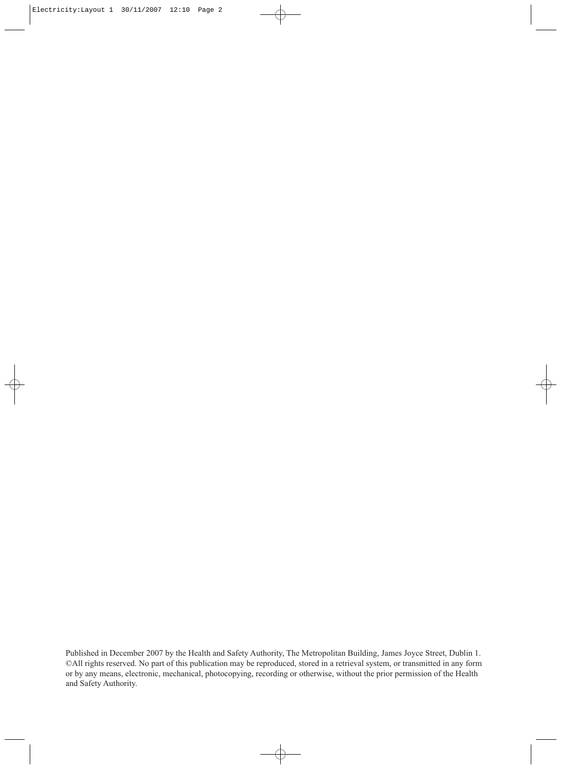Published in December 2007 by the Health and Safety Authority, The Metropolitan Building, James Joyce Street, Dublin 1. ©All rights reserved. No part of this publication may be reproduced, stored in a retrieval system, or transmitted in any form or by any means, electronic, mechanical, photocopying, recording or otherwise, without the prior permission of the Health and Safety Authority.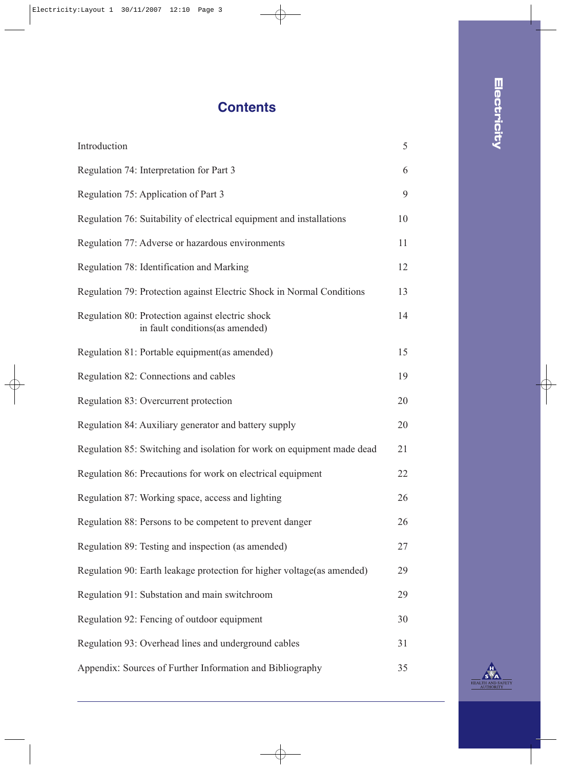# **Contents**

| Introduction                                                                        | 5  |
|-------------------------------------------------------------------------------------|----|
| Regulation 74: Interpretation for Part 3                                            | 6  |
| Regulation 75: Application of Part 3                                                | 9  |
| Regulation 76: Suitability of electrical equipment and installations                | 10 |
| Regulation 77: Adverse or hazardous environments                                    | 11 |
| Regulation 78: Identification and Marking                                           | 12 |
| Regulation 79: Protection against Electric Shock in Normal Conditions               | 13 |
| Regulation 80: Protection against electric shock<br>in fault conditions(as amended) | 14 |
| Regulation 81: Portable equipment(as amended)                                       | 15 |
| Regulation 82: Connections and cables                                               | 19 |
| Regulation 83: Overcurrent protection                                               | 20 |
| Regulation 84: Auxiliary generator and battery supply                               | 20 |
| Regulation 85: Switching and isolation for work on equipment made dead              | 21 |
| Regulation 86: Precautions for work on electrical equipment                         | 22 |
| Regulation 87: Working space, access and lighting                                   | 26 |
| Regulation 88: Persons to be competent to prevent danger                            | 26 |
| Regulation 89: Testing and inspection (as amended)                                  | 27 |
| Regulation 90: Earth leakage protection for higher voltage(as amended)              | 29 |
| Regulation 91: Substation and main switchroom                                       | 29 |
| Regulation 92: Fencing of outdoor equipment                                         | 30 |
| Regulation 93: Overhead lines and underground cables                                | 31 |
| Appendix: Sources of Further Information and Bibliography                           | 35 |

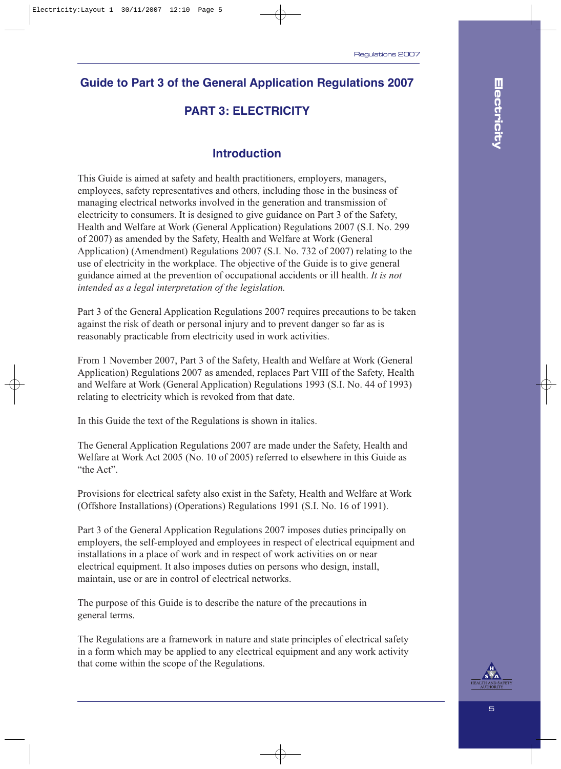### **Guide to Part 3 of the General Application Regulations 2007**

### **PART 3: ELECTRICITY**

### **Introduction**

This Guide is aimed at safety and health practitioners, employers, managers, employees, safety representatives and others, including those in the business of managing electrical networks involved in the generation and transmission of electricity to consumers. It is designed to give guidance on Part 3 of the Safety, Health and Welfare at Work (General Application) Regulations 2007 (S.I. No. 299 of 2007) as amended by the Safety, Health and Welfare at Work (General Application) (Amendment) Regulations 2007 (S.I. No. 732 of 2007) relating to the use of electricity in the workplace. The objective of the Guide is to give general guidance aimed at the prevention of occupational accidents or ill health. *It is not intended as a legal interpretation of the legislation.*

Part 3 of the General Application Regulations 2007 requires precautions to be taken against the risk of death or personal injury and to prevent danger so far as is reasonably practicable from electricity used in work activities.

From 1 November 2007, Part 3 of the Safety, Health and Welfare at Work (General Application) Regulations 2007 as amended, replaces Part VIII of the Safety, Health and Welfare at Work (General Application) Regulations 1993 (S.I. No. 44 of 1993) relating to electricity which is revoked from that date.

In this Guide the text of the Regulations is shown in italics.

The General Application Regulations 2007 are made under the Safety, Health and Welfare at Work Act 2005 (No. 10 of 2005) referred to elsewhere in this Guide as "the Act".

Provisions for electrical safety also exist in the Safety, Health and Welfare at Work (Offshore Installations) (Operations) Regulations 1991 (S.I. No. 16 of 1991).

Part 3 of the General Application Regulations 2007 imposes duties principally on employers, the self-employed and employees in respect of electrical equipment and installations in a place of work and in respect of work activities on or near electrical equipment. It also imposes duties on persons who design, install, maintain, use or are in control of electrical networks.

The purpose of this Guide is to describe the nature of the precautions in general terms.

The Regulations are a framework in nature and state principles of electrical safety in a form which may be applied to any electrical equipment and any work activity that come within the scope of the Regulations.

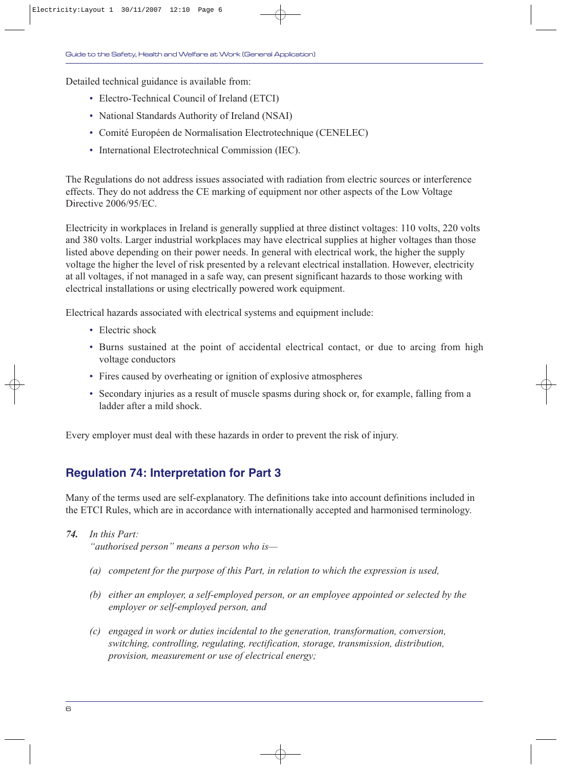Detailed technical guidance is available from:

- Electro-Technical Council of Ireland (ETCI)
- National Standards Authority of Ireland (NSAI)
- Comité Européen de Normalisation Electrotechnique (CENELEC)
- International Electrotechnical Commission (IEC).

The Regulations do not address issues associated with radiation from electric sources or interference effects. They do not address the CE marking of equipment nor other aspects of the Low Voltage Directive 2006/95/EC.

Electricity in workplaces in Ireland is generally supplied at three distinct voltages: 110 volts, 220 volts and 380 volts. Larger industrial workplaces may have electrical supplies at higher voltages than those listed above depending on their power needs. In general with electrical work, the higher the supply voltage the higher the level of risk presented by a relevant electrical installation. However, electricity at all voltages, if not managed in a safe way, can present significant hazards to those working with electrical installations or using electrically powered work equipment.

Electrical hazards associated with electrical systems and equipment include:

- Electric shock
- Burns sustained at the point of accidental electrical contact, or due to arcing from high voltage conductors
- Fires caused by overheating or ignition of explosive atmospheres
- Secondary injuries as a result of muscle spasms during shock or, for example, falling from a ladder after a mild shock.

Every employer must deal with these hazards in order to prevent the risk of injury.

### **Regulation 74: Interpretation for Part 3**

Many of the terms used are self-explanatory. The definitions take into account definitions included in the ETCI Rules, which are in accordance with internationally accepted and harmonised terminology.

*74. In this Part:*

*"authorised person" means a person who is—* 

- *(a) competent for the purpose of this Part, in relation to which the expression is used,*
- *(b) either an employer, a self-employed person, or an employee appointed or selected by the employer or self-employed person, and*
- *(c) engaged in work or duties incidental to the generation, transformation, conversion, switching, controlling, regulating, rectification, storage, transmission, distribution, provision, measurement or use of electrical energy;*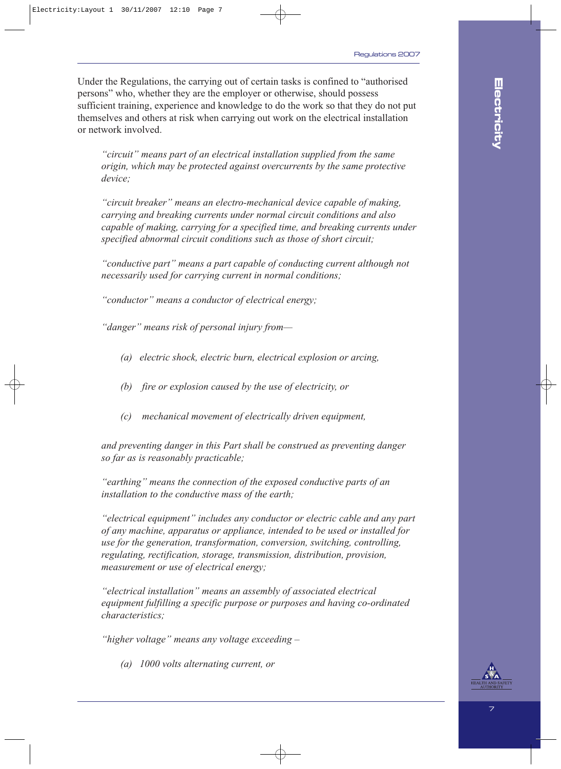Under the Regulations, the carrying out of certain tasks is confined to "authorised persons" who, whether they are the employer or otherwise, should possess sufficient training, experience and knowledge to do the work so that they do not put themselves and others at risk when carrying out work on the electrical installation or network involved.

*"circuit" means part of an electrical installation supplied from the same origin, which may be protected against overcurrents by the same protective device;*

*"circuit breaker" means an electro-mechanical device capable of making, carrying and breaking currents under normal circuit conditions and also capable of making, carrying for a specified time, and breaking currents under specified abnormal circuit conditions such as those of short circuit;*

*"conductive part" means a part capable of conducting current although not necessarily used for carrying current in normal conditions;*

*"conductor" means a conductor of electrical energy;*

*"danger" means risk of personal injury from—* 

- *(a) electric shock, electric burn, electrical explosion or arcing,*
- *(b) fire or explosion caused by the use of electricity, or*
- *(c) mechanical movement of electrically driven equipment,*

*and preventing danger in this Part shall be construed as preventing danger so far as is reasonably practicable;*

*"earthing" means the connection of the exposed conductive parts of an installation to the conductive mass of the earth;*

*"electrical equipment" includes any conductor or electric cable and any part of any machine, apparatus or appliance, intended to be used or installed for use for the generation, transformation, conversion, switching, controlling, regulating, rectification, storage, transmission, distribution, provision, measurement or use of electrical energy;*

*"electrical installation" means an assembly of associated electrical equipment fulfilling a specific purpose or purposes and having co-ordinated characteristics;*

*"higher voltage" means any voltage exceeding –*

*(a) 1000 volts alternating current, or*

**Electricity**

Electricity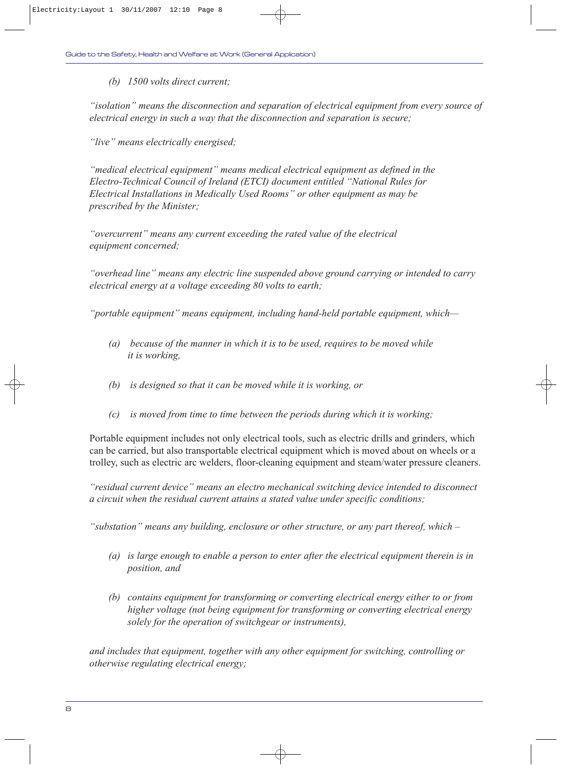*(b) 1500 volts direct current;*

*"isolation" means the disconnection and separation of electrical equipment from every source of electrical energy in such a way that the disconnection and separation is secure;*

*"live" means electrically energised;*

*"medical electrical equipment" means medical electrical equipment as defined in the Electro-Technical Council of Ireland (ETCI) document entitled "National Rules for Electrical Installations in Medically Used Rooms" or other equipment as may be prescribed by the Minister;*

*"overcurrent" means any current exceeding the rated value of the electrical equipment concerned;*

*"overhead line" means any electric line suspended above ground carrying or intended to carry electrical energy at a voltage exceeding 80 volts to earth;*

*"portable equipment" means equipment, including hand-held portable equipment, which—*

- *(a) because of the manner in which it is to be used, requires to be moved while it is working,*
- *(b) is designed so that it can be moved while it is working, or*
- *(c) is moved from time to time between the periods during which it is working;*

Portable equipment includes not only electrical tools, such as electric drills and grinders, which can be carried, but also transportable electrical equipment which is moved about on wheels or a trolley, such as electric arc welders, floor-cleaning equipment and steam/water pressure cleaners.

*"residual current device" means an electro mechanical switching device intended to disconnect a circuit when the residual current attains a stated value under specific conditions;* 

*"substation" means any building, enclosure or other structure, or any part thereof, which –*

- *(a) is large enough to enable a person to enter after the electrical equipment therein is in position, and*
- *(b) contains equipment for transforming or converting electrical energy either to or from higher voltage (not being equipment for transforming or converting electrical energy solely for the operation of switchgear or instruments),*

*and includes that equipment, together with any other equipment for switching, controlling or otherwise regulating electrical energy;*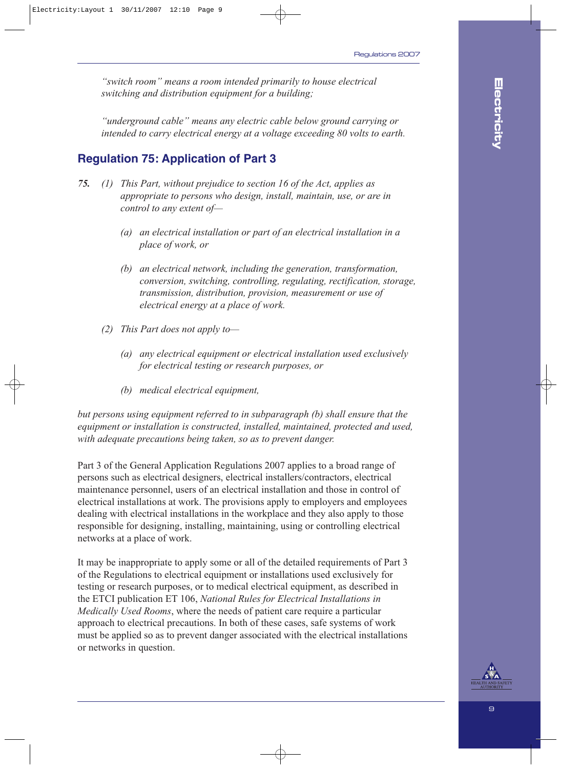*"switch room" means a room intended primarily to house electrical switching and distribution equipment for a building;*

*"underground cable" means any electric cable below ground carrying or intended to carry electrical energy at a voltage exceeding 80 volts to earth.*

### **Regulation 75: Application of Part 3**

- *75. (1) This Part, without prejudice to section 16 of the Act, applies as appropriate to persons who design, install, maintain, use, or are in control to any extent of—*
	- *(a) an electrical installation or part of an electrical installation in a place of work, or*
	- *(b) an electrical network, including the generation, transformation, conversion, switching, controlling, regulating, rectification, storage, transmission, distribution, provision, measurement or use of electrical energy at a place of work.*
	- *(2) This Part does not apply to—*
		- *(a) any electrical equipment or electrical installation used exclusively for electrical testing or research purposes, or*
		- *(b) medical electrical equipment,*

*but persons using equipment referred to in subparagraph (b) shall ensure that the equipment or installation is constructed, installed, maintained, protected and used, with adequate precautions being taken, so as to prevent danger.*

Part 3 of the General Application Regulations 2007 applies to a broad range of persons such as electrical designers, electrical installers/contractors, electrical maintenance personnel, users of an electrical installation and those in control of electrical installations at work. The provisions apply to employers and employees dealing with electrical installations in the workplace and they also apply to those responsible for designing, installing, maintaining, using or controlling electrical networks at a place of work.

It may be inappropriate to apply some or all of the detailed requirements of Part 3 of the Regulations to electrical equipment or installations used exclusively for testing or research purposes, or to medical electrical equipment, as described in the ETCI publication ET 106, *National Rules for Electrical Installations in Medically Used Rooms*, where the needs of patient care require a particular approach to electrical precautions. In both of these cases, safe systems of work must be applied so as to prevent danger associated with the electrical installations or networks in question.

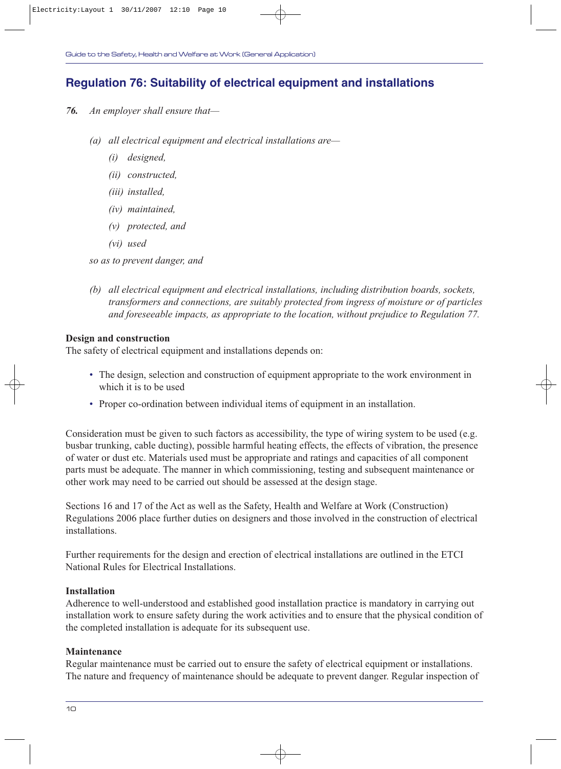### **Regulation 76: Suitability of electrical equipment and installations**

- *76. An employer shall ensure that—*
	- *(a) all electrical equipment and electrical installations are—*
		- *(i) designed,*
		- *(ii) constructed,*
		- *(iii) installed,*
		- *(iv) maintained,*
		- *(v) protected, and*
		- *(vi) used*

*so as to prevent danger, and*

*(b) all electrical equipment and electrical installations, including distribution boards, sockets, transformers and connections, are suitably protected from ingress of moisture or of particles and foreseeable impacts, as appropriate to the location, without prejudice to Regulation 77.*

#### **Design and construction**

The safety of electrical equipment and installations depends on:

- The design, selection and construction of equipment appropriate to the work environment in which it is to be used
- Proper co-ordination between individual items of equipment in an installation.

Consideration must be given to such factors as accessibility, the type of wiring system to be used (e.g. busbar trunking, cable ducting), possible harmful heating effects, the effects of vibration, the presence of water or dust etc. Materials used must be appropriate and ratings and capacities of all component parts must be adequate. The manner in which commissioning, testing and subsequent maintenance or other work may need to be carried out should be assessed at the design stage.

Sections 16 and 17 of the Act as well as the Safety, Health and Welfare at Work (Construction) Regulations 2006 place further duties on designers and those involved in the construction of electrical installations.

Further requirements for the design and erection of electrical installations are outlined in the ETCI National Rules for Electrical Installations.

#### **Installation**

Adherence to well-understood and established good installation practice is mandatory in carrying out installation work to ensure safety during the work activities and to ensure that the physical condition of the completed installation is adequate for its subsequent use.

#### **Maintenance**

Regular maintenance must be carried out to ensure the safety of electrical equipment or installations. The nature and frequency of maintenance should be adequate to prevent danger. Regular inspection of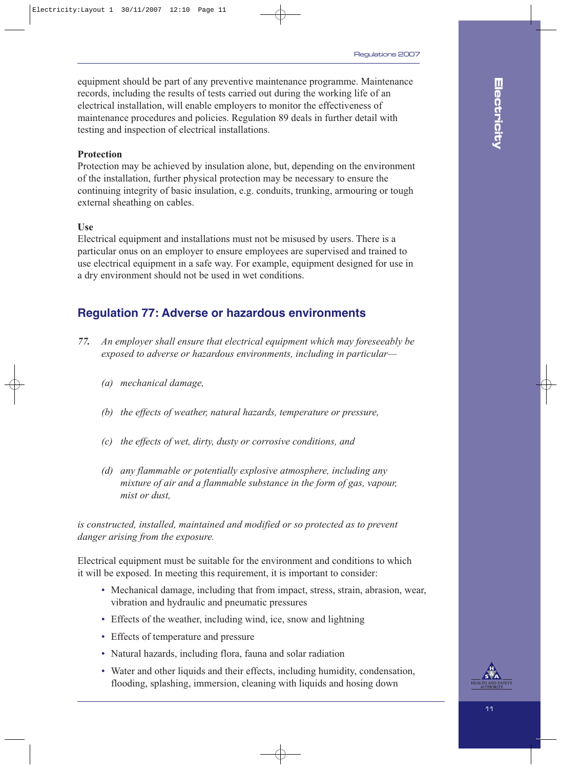equipment should be part of any preventive maintenance programme. Maintenance records, including the results of tests carried out during the working life of an electrical installation, will enable employers to monitor the effectiveness of maintenance procedures and policies. Regulation 89 deals in further detail with testing and inspection of electrical installations.

#### **Protection**

Protection may be achieved by insulation alone, but, depending on the environment of the installation, further physical protection may be necessary to ensure the continuing integrity of basic insulation, e.g. conduits, trunking, armouring or tough external sheathing on cables.

#### **Use**

Electrical equipment and installations must not be misused by users. There is a particular onus on an employer to ensure employees are supervised and trained to use electrical equipment in a safe way. For example, equipment designed for use in a dry environment should not be used in wet conditions.

### **Regulation 77: Adverse or hazardous environments**

- *77. An employer shall ensure that electrical equipment which may foreseeably be exposed to adverse or hazardous environments, including in particular—*
	- *(a) mechanical damage,*
	- *(b) the effects of weather, natural hazards, temperature or pressure,*
	- *(c) the effects of wet, dirty, dusty or corrosive conditions, and*
	- *(d) any flammable or potentially explosive atmosphere, including any mixture of air and a flammable substance in the form of gas, vapour, mist or dust,*

*is constructed, installed, maintained and modified or so protected as to prevent danger arising from the exposure.*

Electrical equipment must be suitable for the environment and conditions to which it will be exposed. In meeting this requirement, it is important to consider:

- Mechanical damage, including that from impact, stress, strain, abrasion, wear, vibration and hydraulic and pneumatic pressures
- Effects of the weather, including wind, ice, snow and lightning
- Effects of temperature and pressure
- Natural hazards, including flora, fauna and solar radiation
- Water and other liquids and their effects, including humidity, condensation, flooding, splashing, immersion, cleaning with liquids and hosing down

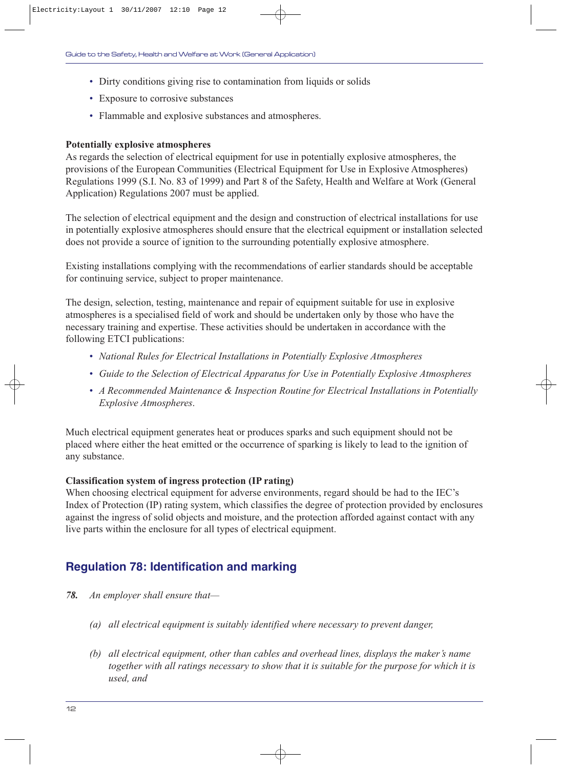- Dirty conditions giving rise to contamination from liquids or solids
- Exposure to corrosive substances
- Flammable and explosive substances and atmospheres.

#### **Potentially explosive atmospheres**

As regards the selection of electrical equipment for use in potentially explosive atmospheres, the provisions of the European Communities (Electrical Equipment for Use in Explosive Atmospheres) Regulations 1999 (S.I. No. 83 of 1999) and Part 8 of the Safety, Health and Welfare at Work (General Application) Regulations 2007 must be applied.

The selection of electrical equipment and the design and construction of electrical installations for use in potentially explosive atmospheres should ensure that the electrical equipment or installation selected does not provide a source of ignition to the surrounding potentially explosive atmosphere.

Existing installations complying with the recommendations of earlier standards should be acceptable for continuing service, subject to proper maintenance.

The design, selection, testing, maintenance and repair of equipment suitable for use in explosive atmospheres is a specialised field of work and should be undertaken only by those who have the necessary training and expertise. These activities should be undertaken in accordance with the following ETCI publications:

- *National Rules for Electrical Installations in Potentially Explosive Atmospheres*
- *Guide to the Selection of Electrical Apparatus for Use in Potentially Explosive Atmospheres*
- *A Recommended Maintenance & Inspection Routine for Electrical Installations in Potentially Explosive Atmospheres*.

Much electrical equipment generates heat or produces sparks and such equipment should not be placed where either the heat emitted or the occurrence of sparking is likely to lead to the ignition of any substance.

#### **Classification system of ingress protection (IP rating)**

When choosing electrical equipment for adverse environments, regard should be had to the IEC's Index of Protection (IP) rating system, which classifies the degree of protection provided by enclosures against the ingress of solid objects and moisture, and the protection afforded against contact with any live parts within the enclosure for all types of electrical equipment.

#### **Regulation 78: Identification and marking**

- *78. An employer shall ensure that—*
	- *(a) all electrical equipment is suitably identified where necessary to prevent danger,*
	- *(b) all electrical equipment, other than cables and overhead lines, displays the maker's name together with all ratings necessary to show that it is suitable for the purpose for which it is used, and*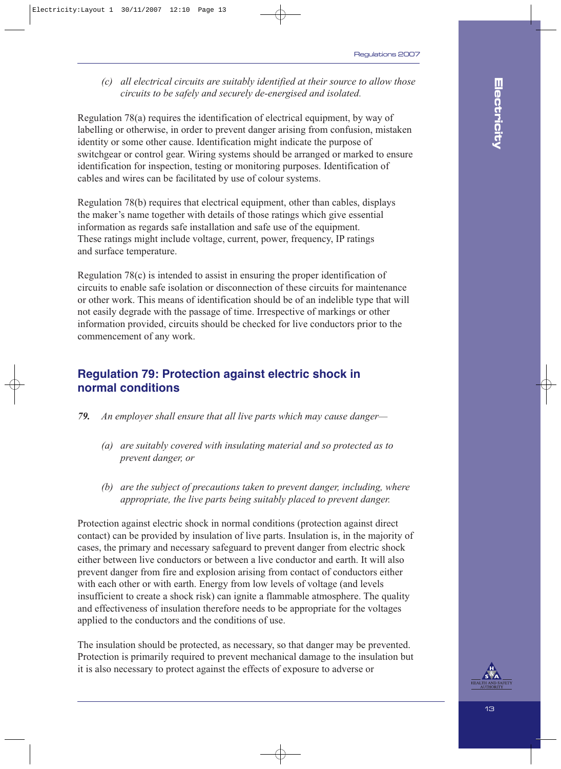*(c) all electrical circuits are suitably identified at their source to allow those circuits to be safely and securely de-energised and isolated.*

Regulation 78(a) requires the identification of electrical equipment, by way of labelling or otherwise, in order to prevent danger arising from confusion, mistaken identity or some other cause. Identification might indicate the purpose of switchgear or control gear. Wiring systems should be arranged or marked to ensure identification for inspection, testing or monitoring purposes. Identification of cables and wires can be facilitated by use of colour systems.

Regulation 78(b) requires that electrical equipment, other than cables, displays the maker's name together with details of those ratings which give essential information as regards safe installation and safe use of the equipment. These ratings might include voltage, current, power, frequency, IP ratings and surface temperature.

Regulation 78(c) is intended to assist in ensuring the proper identification of circuits to enable safe isolation or disconnection of these circuits for maintenance or other work. This means of identification should be of an indelible type that will not easily degrade with the passage of time. Irrespective of markings or other information provided, circuits should be checked for live conductors prior to the commencement of any work.

### **Regulation 79: Protection against electric shock in normal conditions**

- *79. An employer shall ensure that all live parts which may cause danger—*
	- *(a) are suitably covered with insulating material and so protected as to prevent danger, or*
	- *(b) are the subject of precautions taken to prevent danger, including, where appropriate, the live parts being suitably placed to prevent danger.*

Protection against electric shock in normal conditions (protection against direct contact) can be provided by insulation of live parts. Insulation is, in the majority of cases, the primary and necessary safeguard to prevent danger from electric shock either between live conductors or between a live conductor and earth. It will also prevent danger from fire and explosion arising from contact of conductors either with each other or with earth. Energy from low levels of voltage (and levels insufficient to create a shock risk) can ignite a flammable atmosphere. The quality and effectiveness of insulation therefore needs to be appropriate for the voltages applied to the conductors and the conditions of use.

The insulation should be protected, as necessary, so that danger may be prevented. Protection is primarily required to prevent mechanical damage to the insulation but it is also necessary to protect against the effects of exposure to adverse or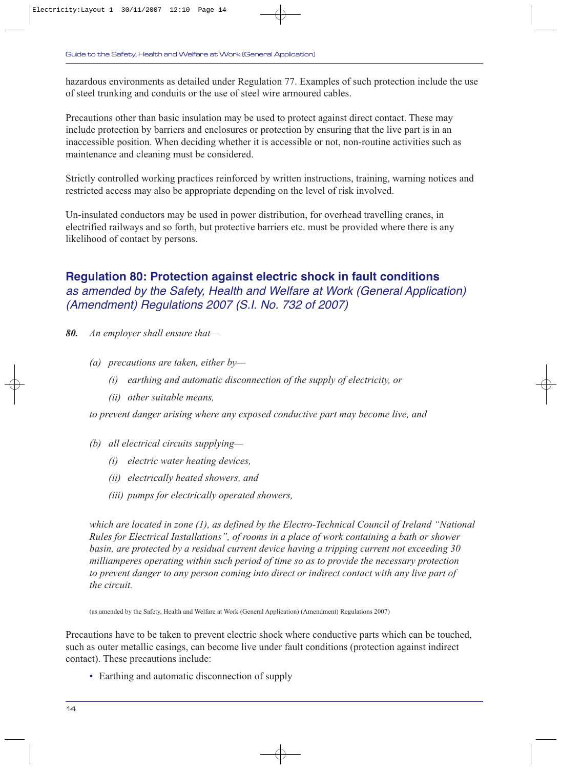hazardous environments as detailed under Regulation 77. Examples of such protection include the use of steel trunking and conduits or the use of steel wire armoured cables.

Precautions other than basic insulation may be used to protect against direct contact. These may include protection by barriers and enclosures or protection by ensuring that the live part is in an inaccessible position. When deciding whether it is accessible or not, non-routine activities such as maintenance and cleaning must be considered.

Strictly controlled working practices reinforced by written instructions, training, warning notices and restricted access may also be appropriate depending on the level of risk involved.

Un-insulated conductors may be used in power distribution, for overhead travelling cranes, in electrified railways and so forth, but protective barriers etc. must be provided where there is any likelihood of contact by persons.

### **Regulation 80: Protection against electric shock in fault conditions** as amended by the Safety, Health and Welfare at Work (General Application) (Amendment) Regulations 2007 (S.I. No. 732 of 2007)

- *80. An employer shall ensure that—*
	- *(a) precautions are taken, either by—*
		- *(i) earthing and automatic disconnection of the supply of electricity, or*
		- *(ii) other suitable means,*

*to prevent danger arising where any exposed conductive part may become live, and*

- *(b) all electrical circuits supplying—*
	- *(i) electric water heating devices,*
	- *(ii) electrically heated showers, and*
	- *(iii) pumps for electrically operated showers,*

*which are located in zone (1), as defined by the Electro-Technical Council of Ireland "National Rules for Electrical Installations", of rooms in a place of work containing a bath or shower basin, are protected by a residual current device having a tripping current not exceeding 30 milliamperes operating within such period of time so as to provide the necessary protection to prevent danger to any person coming into direct or indirect contact with any live part of the circuit.*

(as amended by the Safety, Health and Welfare at Work (General Application) (Amendment) Regulations 2007)

Precautions have to be taken to prevent electric shock where conductive parts which can be touched, such as outer metallic casings, can become live under fault conditions (protection against indirect contact). These precautions include:

• Earthing and automatic disconnection of supply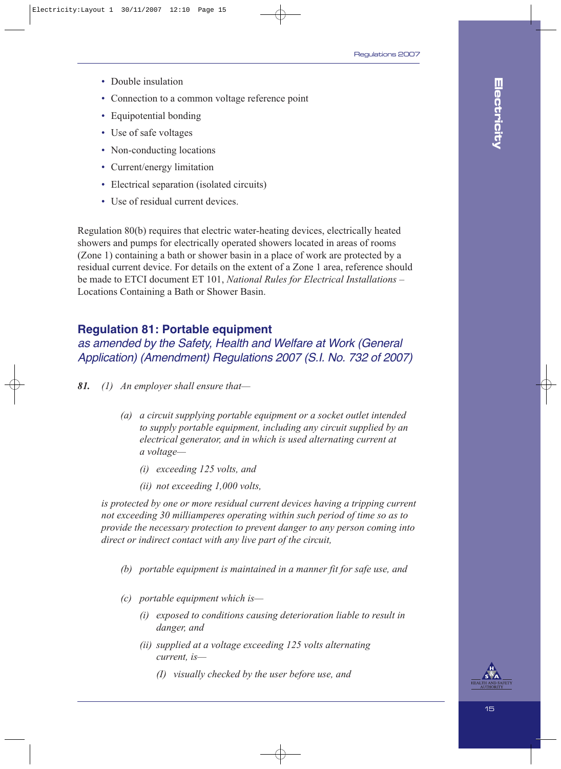- Double insulation
- Connection to a common voltage reference point
- Equipotential bonding
- Use of safe voltages
- Non-conducting locations
- Current/energy limitation
- Electrical separation (isolated circuits)
- Use of residual current devices.

Regulation 80(b) requires that electric water-heating devices, electrically heated showers and pumps for electrically operated showers located in areas of rooms (Zone 1) containing a bath or shower basin in a place of work are protected by a residual current device. For details on the extent of a Zone 1 area, reference should be made to ETCI document ET 101, *National Rules for Electrical Installations –* Locations Containing a Bath or Shower Basin.

### **Regulation 81: Portable equipment**

as amended by the Safety, Health and Welfare at Work (General Application) (Amendment) Regulations 2007 (S.I. No. 732 of 2007)

- *81. (1) An employer shall ensure that—*
	- *(a) a circuit supplying portable equipment or a socket outlet intended to supply portable equipment, including any circuit supplied by an electrical generator, and in which is used alternating current at a voltage—*
		- *(i) exceeding 125 volts, and*
		- *(ii) not exceeding 1,000 volts,*

*is protected by one or more residual current devices having a tripping current not exceeding 30 milliamperes operating within such period of time so as to provide the necessary protection to prevent danger to any person coming into direct or indirect contact with any live part of the circuit,*

- *(b) portable equipment is maintained in a manner fit for safe use, and*
- *(c) portable equipment which is—*
	- *(i) exposed to conditions causing deterioration liable to result in danger, and*
	- *(ii) supplied at a voltage exceeding 125 volts alternating current, is—*
		- *(I) visually checked by the user before use, and*

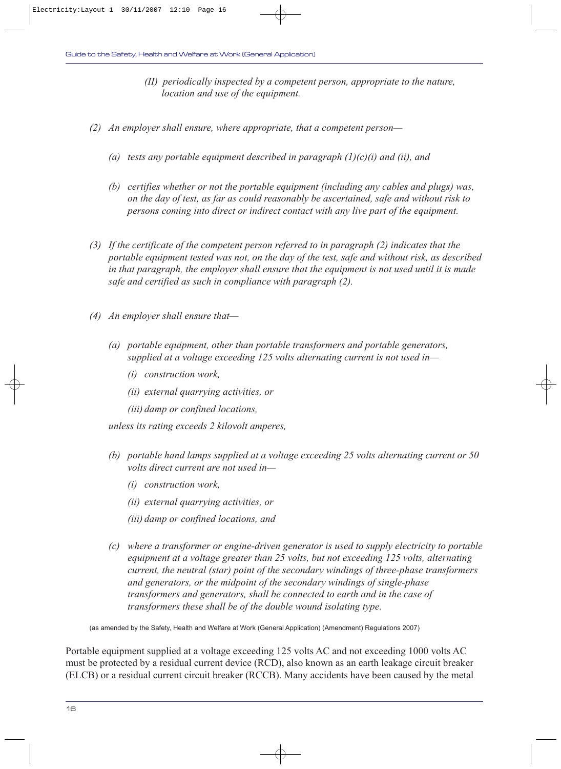- *(II) periodically inspected by a competent person, appropriate to the nature, location and use of the equipment.*
- *(2) An employer shall ensure, where appropriate, that a competent person—*
	- *(a) tests any portable equipment described in paragraph (1)(c)(i) and (ii), and*
	- *(b) certifies whether or not the portable equipment (including any cables and plugs) was, on the day of test, as far as could reasonably be ascertained, safe and without risk to persons coming into direct or indirect contact with any live part of the equipment.*
- *(3) If the certificate of the competent person referred to in paragraph (2) indicates that the portable equipment tested was not, on the day of the test, safe and without risk, as described in that paragraph, the employer shall ensure that the equipment is not used until it is made safe and certified as such in compliance with paragraph (2).*
- *(4) An employer shall ensure that—*
	- *(a) portable equipment, other than portable transformers and portable generators, supplied at a voltage exceeding 125 volts alternating current is not used in—*
		- *(i) construction work,*
		- *(ii) external quarrying activities, or*
		- *(iii) damp or confined locations,*

*unless its rating exceeds 2 kilovolt amperes,*

- *(b) portable hand lamps supplied at a voltage exceeding 25 volts alternating current or 50 volts direct current are not used in—*
	- *(i) construction work,*
	- *(ii) external quarrying activities, or*
	- *(iii) damp or confined locations, and*
- *(c) where a transformer or engine-driven generator is used to supply electricity to portable equipment at a voltage greater than 25 volts, but not exceeding 125 volts, alternating current, the neutral (star) point of the secondary windings of three-phase transformers and generators, or the midpoint of the secondary windings of single-phase transformers and generators, shall be connected to earth and in the case of transformers these shall be of the double wound isolating type.*

(as amended by the Safety, Health and Welfare at Work (General Application) (Amendment) Regulations 2007)

Portable equipment supplied at a voltage exceeding 125 volts AC and not exceeding 1000 volts AC must be protected by a residual current device (RCD), also known as an earth leakage circuit breaker (ELCB) or a residual current circuit breaker (RCCB). Many accidents have been caused by the metal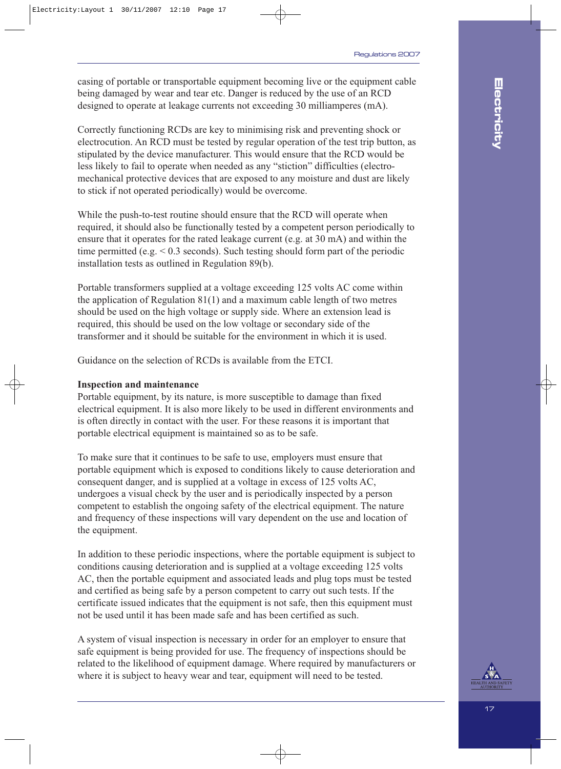casing of portable or transportable equipment becoming live or the equipment cable being damaged by wear and tear etc. Danger is reduced by the use of an RCD designed to operate at leakage currents not exceeding 30 milliamperes (mA).

Correctly functioning RCDs are key to minimising risk and preventing shock or electrocution. An RCD must be tested by regular operation of the test trip button, as stipulated by the device manufacturer. This would ensure that the RCD would be less likely to fail to operate when needed as any "stiction" difficulties (electromechanical protective devices that are exposed to any moisture and dust are likely to stick if not operated periodically) would be overcome.

While the push-to-test routine should ensure that the RCD will operate when required, it should also be functionally tested by a competent person periodically to ensure that it operates for the rated leakage current (e.g. at 30 mA) and within the time permitted (e.g. < 0.3 seconds). Such testing should form part of the periodic installation tests as outlined in Regulation 89(b).

Portable transformers supplied at a voltage exceeding 125 volts AC come within the application of Regulation 81(1) and a maximum cable length of two metres should be used on the high voltage or supply side. Where an extension lead is required, this should be used on the low voltage or secondary side of the transformer and it should be suitable for the environment in which it is used.

Guidance on the selection of RCDs is available from the ETCI.

#### **Inspection and maintenance**

Portable equipment, by its nature, is more susceptible to damage than fixed electrical equipment. It is also more likely to be used in different environments and is often directly in contact with the user. For these reasons it is important that portable electrical equipment is maintained so as to be safe.

To make sure that it continues to be safe to use, employers must ensure that portable equipment which is exposed to conditions likely to cause deterioration and consequent danger, and is supplied at a voltage in excess of 125 volts AC, undergoes a visual check by the user and is periodically inspected by a person competent to establish the ongoing safety of the electrical equipment. The nature and frequency of these inspections will vary dependent on the use and location of the equipment.

In addition to these periodic inspections, where the portable equipment is subject to conditions causing deterioration and is supplied at a voltage exceeding 125 volts AC, then the portable equipment and associated leads and plug tops must be tested and certified as being safe by a person competent to carry out such tests. If the certificate issued indicates that the equipment is not safe, then this equipment must not be used until it has been made safe and has been certified as such.

A system of visual inspection is necessary in order for an employer to ensure that safe equipment is being provided for use. The frequency of inspections should be related to the likelihood of equipment damage. Where required by manufacturers or where it is subject to heavy wear and tear, equipment will need to be tested.

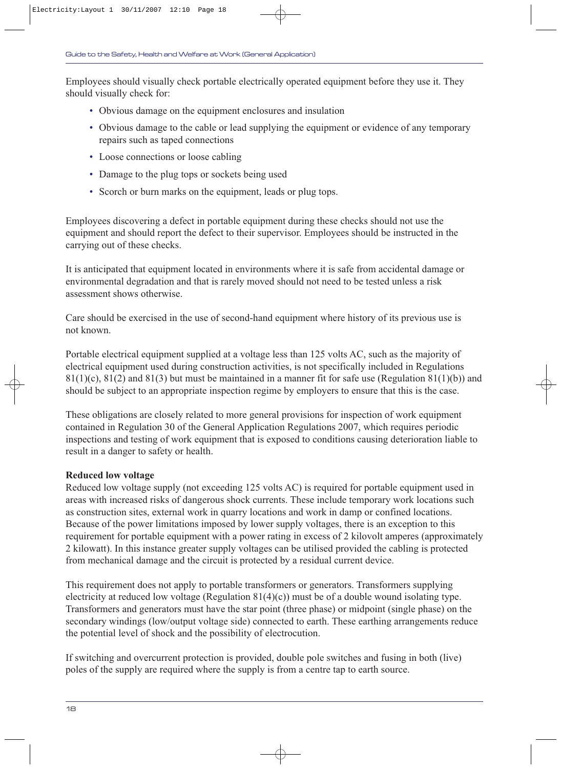Employees should visually check portable electrically operated equipment before they use it. They should visually check for:

- Obvious damage on the equipment enclosures and insulation
- Obvious damage to the cable or lead supplying the equipment or evidence of any temporary repairs such as taped connections
- Loose connections or loose cabling
- Damage to the plug tops or sockets being used
- Scorch or burn marks on the equipment, leads or plug tops.

Employees discovering a defect in portable equipment during these checks should not use the equipment and should report the defect to their supervisor. Employees should be instructed in the carrying out of these checks.

It is anticipated that equipment located in environments where it is safe from accidental damage or environmental degradation and that is rarely moved should not need to be tested unless a risk assessment shows otherwise.

Care should be exercised in the use of second-hand equipment where history of its previous use is not known.

Portable electrical equipment supplied at a voltage less than 125 volts AC, such as the majority of electrical equipment used during construction activities, is not specifically included in Regulations  $81(1)(c)$ ,  $81(2)$  and  $81(3)$  but must be maintained in a manner fit for safe use (Regulation  $81(1)(b)$ ) and should be subject to an appropriate inspection regime by employers to ensure that this is the case.

These obligations are closely related to more general provisions for inspection of work equipment contained in Regulation 30 of the General Application Regulations 2007, which requires periodic inspections and testing of work equipment that is exposed to conditions causing deterioration liable to result in a danger to safety or health.

#### **Reduced low voltage**

Reduced low voltage supply (not exceeding 125 volts AC) is required for portable equipment used in areas with increased risks of dangerous shock currents. These include temporary work locations such as construction sites, external work in quarry locations and work in damp or confined locations. Because of the power limitations imposed by lower supply voltages, there is an exception to this requirement for portable equipment with a power rating in excess of 2 kilovolt amperes (approximately 2 kilowatt). In this instance greater supply voltages can be utilised provided the cabling is protected from mechanical damage and the circuit is protected by a residual current device.

This requirement does not apply to portable transformers or generators. Transformers supplying electricity at reduced low voltage (Regulation 81(4)(c)) must be of a double wound isolating type. Transformers and generators must have the star point (three phase) or midpoint (single phase) on the secondary windings (low/output voltage side) connected to earth. These earthing arrangements reduce the potential level of shock and the possibility of electrocution.

If switching and overcurrent protection is provided, double pole switches and fusing in both (live) poles of the supply are required where the supply is from a centre tap to earth source.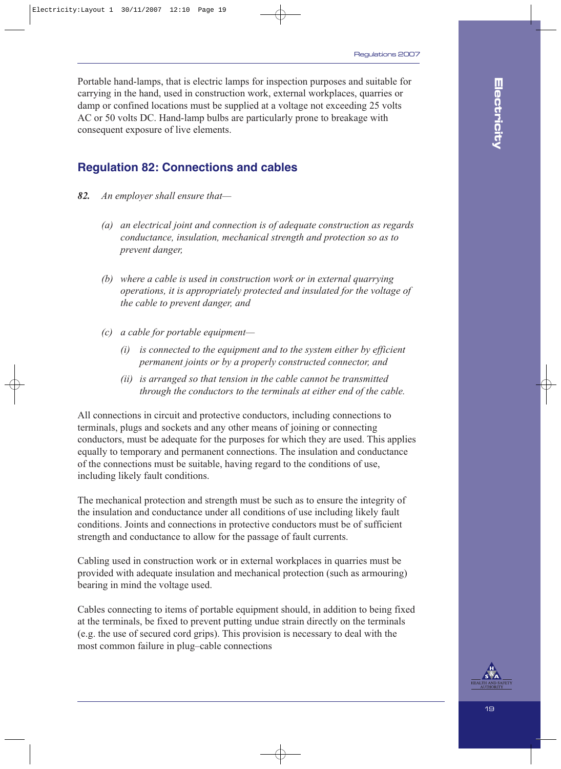Portable hand-lamps, that is electric lamps for inspection purposes and suitable for carrying in the hand, used in construction work, external workplaces, quarries or damp or confined locations must be supplied at a voltage not exceeding 25 volts AC or 50 volts DC. Hand-lamp bulbs are particularly prone to breakage with consequent exposure of live elements.

### **Regulation 82: Connections and cables**

- *82. An employer shall ensure that—*
	- *(a) an electrical joint and connection is of adequate construction as regards conductance, insulation, mechanical strength and protection so as to prevent danger,*
	- *(b) where a cable is used in construction work or in external quarrying operations, it is appropriately protected and insulated for the voltage of the cable to prevent danger, and*
	- *(c) a cable for portable equipment—*
		- *(i) is connected to the equipment and to the system either by efficient permanent joints or by a properly constructed connector, and*
		- *(ii) is arranged so that tension in the cable cannot be transmitted through the conductors to the terminals at either end of the cable.*

All connections in circuit and protective conductors, including connections to terminals, plugs and sockets and any other means of joining or connecting conductors, must be adequate for the purposes for which they are used. This applies equally to temporary and permanent connections. The insulation and conductance of the connections must be suitable, having regard to the conditions of use, including likely fault conditions.

The mechanical protection and strength must be such as to ensure the integrity of the insulation and conductance under all conditions of use including likely fault conditions. Joints and connections in protective conductors must be of sufficient strength and conductance to allow for the passage of fault currents.

Cabling used in construction work or in external workplaces in quarries must be provided with adequate insulation and mechanical protection (such as armouring) bearing in mind the voltage used.

Cables connecting to items of portable equipment should, in addition to being fixed at the terminals, be fixed to prevent putting undue strain directly on the terminals (e.g. the use of secured cord grips). This provision is necessary to deal with the most common failure in plug–cable connections

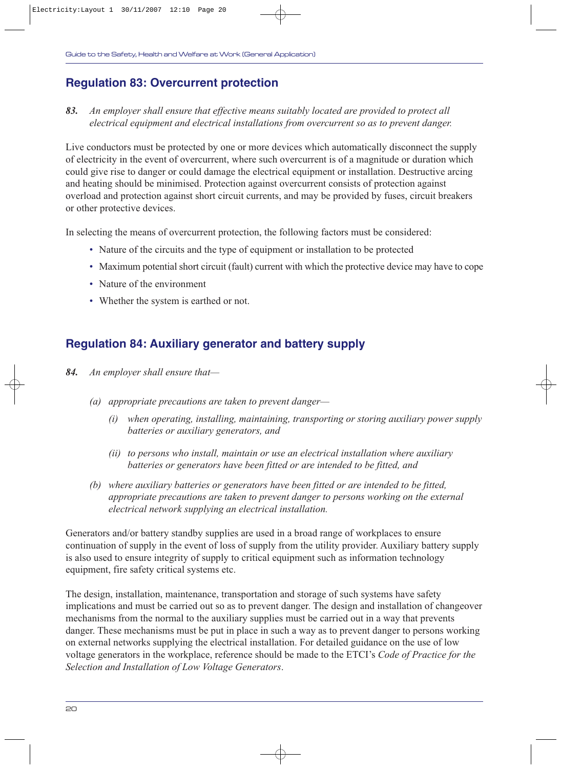### **Regulation 83: Overcurrent protection**

#### *83. An employer shall ensure that effective means suitably located are provided to protect all electrical equipment and electrical installations from overcurrent so as to prevent danger.*

Live conductors must be protected by one or more devices which automatically disconnect the supply of electricity in the event of overcurrent, where such overcurrent is of a magnitude or duration which could give rise to danger or could damage the electrical equipment or installation. Destructive arcing and heating should be minimised. Protection against overcurrent consists of protection against overload and protection against short circuit currents, and may be provided by fuses, circuit breakers or other protective devices.

In selecting the means of overcurrent protection, the following factors must be considered:

- Nature of the circuits and the type of equipment or installation to be protected
- Maximum potential short circuit (fault) current with which the protective device may have to cope
- Nature of the environment
- Whether the system is earthed or not.

### **Regulation 84: Auxiliary generator and battery supply**

- *84. An employer shall ensure that—*
	- *(a) appropriate precautions are taken to prevent danger—*
		- *(i) when operating, installing, maintaining, transporting or storing auxiliary power supply batteries or auxiliary generators, and*
		- *(ii) to persons who install, maintain or use an electrical installation where auxiliary batteries or generators have been fitted or are intended to be fitted, and*
	- *(b) where auxiliary batteries or generators have been fitted or are intended to be fitted, appropriate precautions are taken to prevent danger to persons working on the external electrical network supplying an electrical installation.*

Generators and/or battery standby supplies are used in a broad range of workplaces to ensure continuation of supply in the event of loss of supply from the utility provider. Auxiliary battery supply is also used to ensure integrity of supply to critical equipment such as information technology equipment, fire safety critical systems etc.

The design, installation, maintenance, transportation and storage of such systems have safety implications and must be carried out so as to prevent danger. The design and installation of changeover mechanisms from the normal to the auxiliary supplies must be carried out in a way that prevents danger. These mechanisms must be put in place in such a way as to prevent danger to persons working on external networks supplying the electrical installation. For detailed guidance on the use of low voltage generators in the workplace, reference should be made to the ETCI's *Code of Practice for the Selection and Installation of Low Voltage Generators*.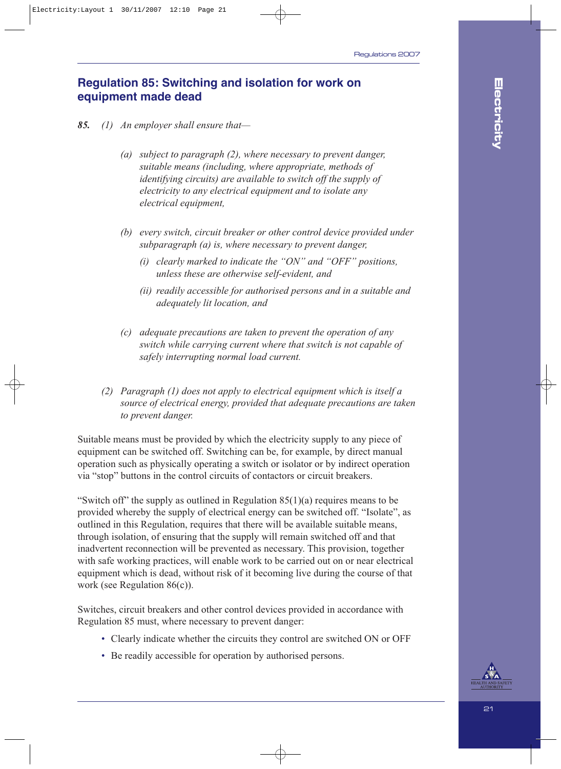### **Regulation 85: Switching and isolation for work on equipment made dead**

- *85. (1) An employer shall ensure that—*
	- *(a) subject to paragraph (2), where necessary to prevent danger, suitable means (including, where appropriate, methods of identifying circuits) are available to switch off the supply of electricity to any electrical equipment and to isolate any electrical equipment,*
	- *(b) every switch, circuit breaker or other control device provided under subparagraph (a) is, where necessary to prevent danger,*
		- *(i) clearly marked to indicate the "ON" and "OFF" positions, unless these are otherwise self-evident, and*
		- *(ii) readily accessible for authorised persons and in a suitable and adequately lit location, and*
	- *(c) adequate precautions are taken to prevent the operation of any switch while carrying current where that switch is not capable of safely interrupting normal load current.*
	- *(2) Paragraph (1) does not apply to electrical equipment which is itself a source of electrical energy, provided that adequate precautions are taken to prevent danger.*

Suitable means must be provided by which the electricity supply to any piece of equipment can be switched off. Switching can be, for example, by direct manual operation such as physically operating a switch or isolator or by indirect operation via "stop" buttons in the control circuits of contactors or circuit breakers.

"Switch off" the supply as outlined in Regulation  $85(1)(a)$  requires means to be provided whereby the supply of electrical energy can be switched off. "Isolate", as outlined in this Regulation, requires that there will be available suitable means, through isolation, of ensuring that the supply will remain switched off and that inadvertent reconnection will be prevented as necessary. This provision, together with safe working practices, will enable work to be carried out on or near electrical equipment which is dead, without risk of it becoming live during the course of that work (see Regulation 86(c)).

Switches, circuit breakers and other control devices provided in accordance with Regulation 85 must, where necessary to prevent danger:

- Clearly indicate whether the circuits they control are switched ON or OFF
- Be readily accessible for operation by authorised persons.

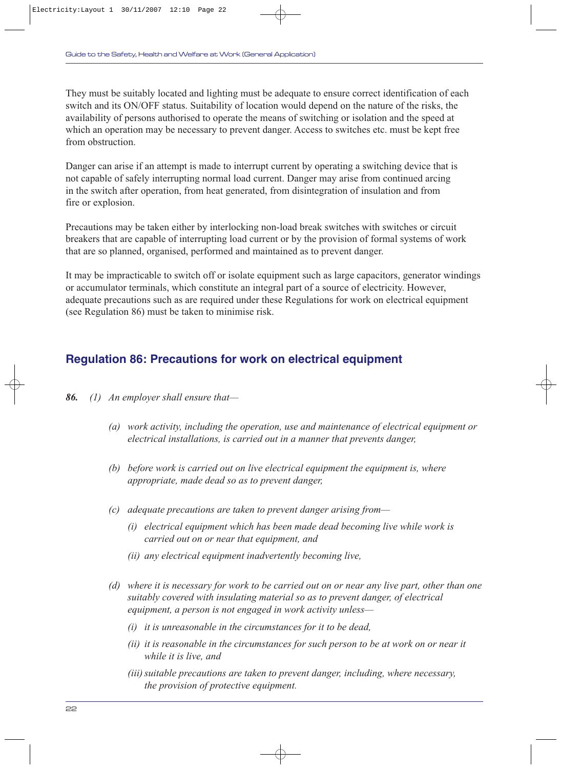They must be suitably located and lighting must be adequate to ensure correct identification of each switch and its ON/OFF status. Suitability of location would depend on the nature of the risks, the availability of persons authorised to operate the means of switching or isolation and the speed at which an operation may be necessary to prevent danger. Access to switches etc. must be kept free from obstruction.

Danger can arise if an attempt is made to interrupt current by operating a switching device that is not capable of safely interrupting normal load current. Danger may arise from continued arcing in the switch after operation, from heat generated, from disintegration of insulation and from fire or explosion.

Precautions may be taken either by interlocking non-load break switches with switches or circuit breakers that are capable of interrupting load current or by the provision of formal systems of work that are so planned, organised, performed and maintained as to prevent danger.

It may be impracticable to switch off or isolate equipment such as large capacitors, generator windings or accumulator terminals, which constitute an integral part of a source of electricity. However, adequate precautions such as are required under these Regulations for work on electrical equipment (see Regulation 86) must be taken to minimise risk.

### **Regulation 86: Precautions for work on electrical equipment**

- *86. (1) An employer shall ensure that—*
	- *(a) work activity, including the operation, use and maintenance of electrical equipment or electrical installations, is carried out in a manner that prevents danger,*
	- *(b) before work is carried out on live electrical equipment the equipment is, where appropriate, made dead so as to prevent danger,*
	- *(c) adequate precautions are taken to prevent danger arising from—*
		- *(i) electrical equipment which has been made dead becoming live while work is carried out on or near that equipment, and*
		- *(ii) any electrical equipment inadvertently becoming live,*
	- *(d) where it is necessary for work to be carried out on or near any live part, other than one suitably covered with insulating material so as to prevent danger, of electrical equipment, a person is not engaged in work activity unless—*
		- *(i) it is unreasonable in the circumstances for it to be dead,*
		- *(ii) it is reasonable in the circumstances for such person to be at work on or near it while it is live, and*
		- *(iii) suitable precautions are taken to prevent danger, including, where necessary, the provision of protective equipment.*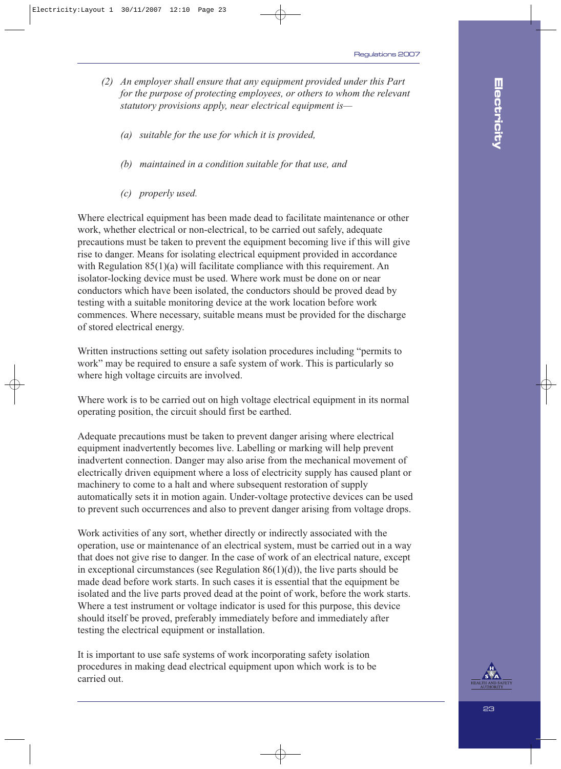- *(2) An employer shall ensure that any equipment provided under this Part for the purpose of protecting employees, or others to whom the relevant statutory provisions apply, near electrical equipment is—*
	- *(a) suitable for the use for which it is provided,*
	- *(b) maintained in a condition suitable for that use, and*
	- *(c) properly used.*

Where electrical equipment has been made dead to facilitate maintenance or other work, whether electrical or non-electrical, to be carried out safely, adequate precautions must be taken to prevent the equipment becoming live if this will give rise to danger. Means for isolating electrical equipment provided in accordance with Regulation 85(1)(a) will facilitate compliance with this requirement. An isolator-locking device must be used. Where work must be done on or near conductors which have been isolated, the conductors should be proved dead by testing with a suitable monitoring device at the work location before work commences. Where necessary, suitable means must be provided for the discharge of stored electrical energy.

Written instructions setting out safety isolation procedures including "permits to work" may be required to ensure a safe system of work. This is particularly so where high voltage circuits are involved.

Where work is to be carried out on high voltage electrical equipment in its normal operating position, the circuit should first be earthed.

Adequate precautions must be taken to prevent danger arising where electrical equipment inadvertently becomes live. Labelling or marking will help prevent inadvertent connection. Danger may also arise from the mechanical movement of electrically driven equipment where a loss of electricity supply has caused plant or machinery to come to a halt and where subsequent restoration of supply automatically sets it in motion again. Under-voltage protective devices can be used to prevent such occurrences and also to prevent danger arising from voltage drops.

Work activities of any sort, whether directly or indirectly associated with the operation, use or maintenance of an electrical system, must be carried out in a way that does not give rise to danger. In the case of work of an electrical nature, except in exceptional circumstances (see Regulation  $86(1)(d)$ ), the live parts should be made dead before work starts. In such cases it is essential that the equipment be isolated and the live parts proved dead at the point of work, before the work starts. Where a test instrument or voltage indicator is used for this purpose, this device should itself be proved, preferably immediately before and immediately after testing the electrical equipment or installation.

It is important to use safe systems of work incorporating safety isolation procedures in making dead electrical equipment upon which work is to be carried out.

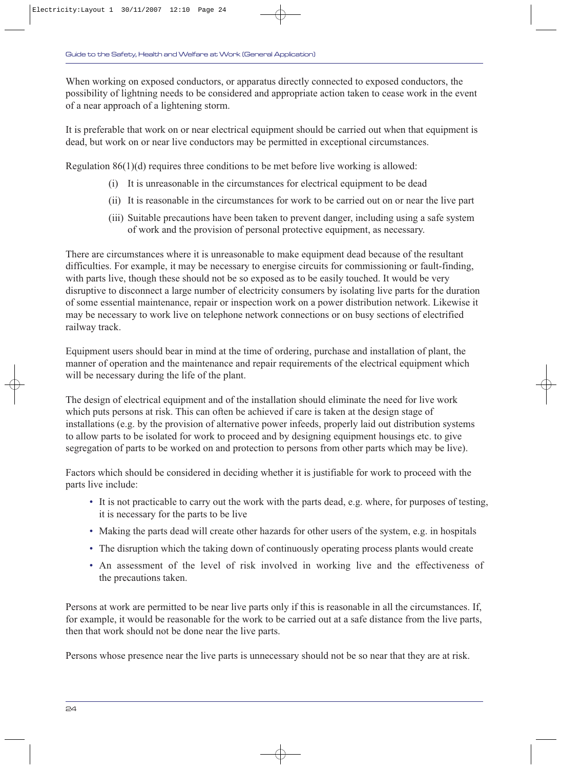When working on exposed conductors, or apparatus directly connected to exposed conductors, the possibility of lightning needs to be considered and appropriate action taken to cease work in the event of a near approach of a lightening storm.

It is preferable that work on or near electrical equipment should be carried out when that equipment is dead, but work on or near live conductors may be permitted in exceptional circumstances.

Regulation 86(1)(d) requires three conditions to be met before live working is allowed:

- (i) It is unreasonable in the circumstances for electrical equipment to be dead
- (ii) It is reasonable in the circumstances for work to be carried out on or near the live part
- (iii) Suitable precautions have been taken to prevent danger, including using a safe system of work and the provision of personal protective equipment, as necessary.

There are circumstances where it is unreasonable to make equipment dead because of the resultant difficulties. For example, it may be necessary to energise circuits for commissioning or fault-finding, with parts live, though these should not be so exposed as to be easily touched. It would be very disruptive to disconnect a large number of electricity consumers by isolating live parts for the duration of some essential maintenance, repair or inspection work on a power distribution network. Likewise it may be necessary to work live on telephone network connections or on busy sections of electrified railway track.

Equipment users should bear in mind at the time of ordering, purchase and installation of plant, the manner of operation and the maintenance and repair requirements of the electrical equipment which will be necessary during the life of the plant.

The design of electrical equipment and of the installation should eliminate the need for live work which puts persons at risk. This can often be achieved if care is taken at the design stage of installations (e.g. by the provision of alternative power infeeds, properly laid out distribution systems to allow parts to be isolated for work to proceed and by designing equipment housings etc. to give segregation of parts to be worked on and protection to persons from other parts which may be live).

Factors which should be considered in deciding whether it is justifiable for work to proceed with the parts live include:

- It is not practicable to carry out the work with the parts dead, e.g. where, for purposes of testing, it is necessary for the parts to be live
- Making the parts dead will create other hazards for other users of the system, e.g. in hospitals
- The disruption which the taking down of continuously operating process plants would create
- An assessment of the level of risk involved in working live and the effectiveness of the precautions taken.

Persons at work are permitted to be near live parts only if this is reasonable in all the circumstances. If, for example, it would be reasonable for the work to be carried out at a safe distance from the live parts, then that work should not be done near the live parts.

Persons whose presence near the live parts is unnecessary should not be so near that they are at risk.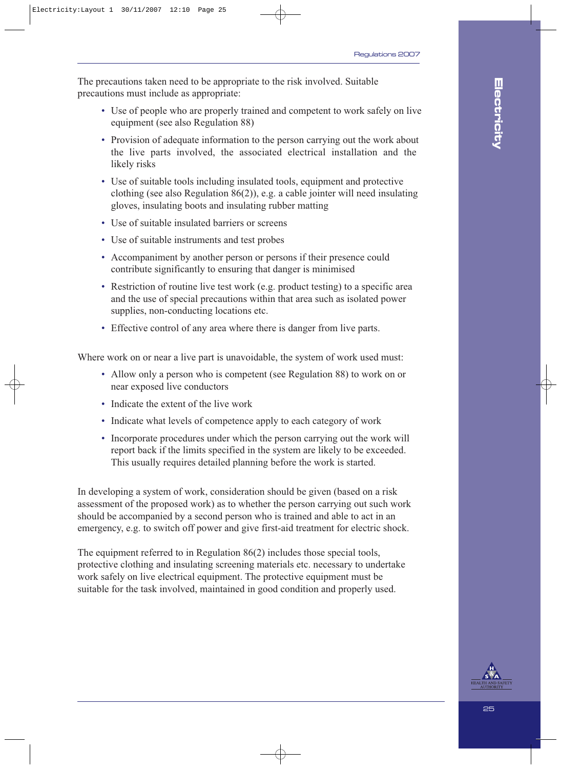The precautions taken need to be appropriate to the risk involved. Suitable precautions must include as appropriate:

- Use of people who are properly trained and competent to work safely on live equipment (see also Regulation 88)
- Provision of adequate information to the person carrying out the work about the live parts involved, the associated electrical installation and the likely risks
- Use of suitable tools including insulated tools, equipment and protective clothing (see also Regulation 86(2)), e.g. a cable jointer will need insulating gloves, insulating boots and insulating rubber matting
- Use of suitable insulated barriers or screens
- Use of suitable instruments and test probes
- Accompaniment by another person or persons if their presence could contribute significantly to ensuring that danger is minimised
- Restriction of routine live test work (e.g. product testing) to a specific area and the use of special precautions within that area such as isolated power supplies, non-conducting locations etc.
- Effective control of any area where there is danger from live parts.

Where work on or near a live part is unavoidable, the system of work used must:

- Allow only a person who is competent (see Regulation 88) to work on or near exposed live conductors
- Indicate the extent of the live work
- Indicate what levels of competence apply to each category of work
- Incorporate procedures under which the person carrying out the work will report back if the limits specified in the system are likely to be exceeded. This usually requires detailed planning before the work is started.

In developing a system of work, consideration should be given (based on a risk assessment of the proposed work) as to whether the person carrying out such work should be accompanied by a second person who is trained and able to act in an emergency, e.g. to switch off power and give first-aid treatment for electric shock.

The equipment referred to in Regulation 86(2) includes those special tools, protective clothing and insulating screening materials etc. necessary to undertake work safely on live electrical equipment. The protective equipment must be suitable for the task involved, maintained in good condition and properly used.

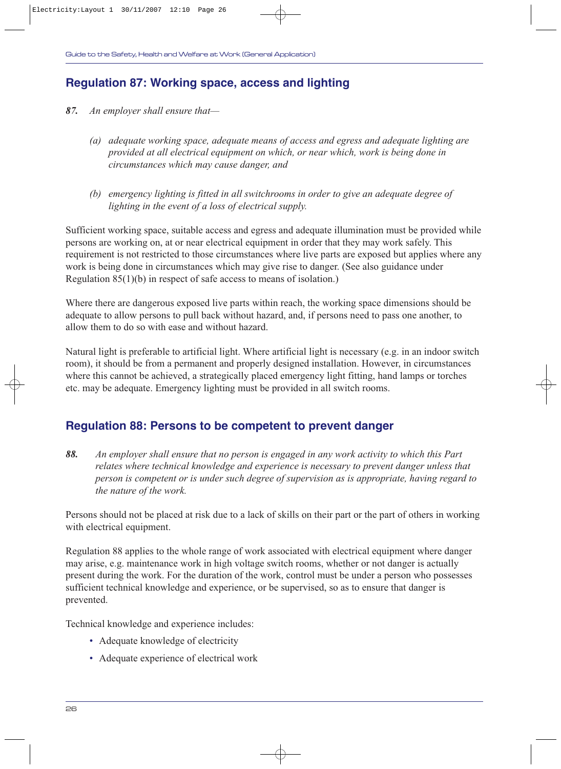### **Regulation 87: Working space, access and lighting**

- *87. An employer shall ensure that—*
	- *(a) adequate working space, adequate means of access and egress and adequate lighting are provided at all electrical equipment on which, or near which, work is being done in circumstances which may cause danger, and*
	- *(b) emergency lighting is fitted in all switchrooms in order to give an adequate degree of lighting in the event of a loss of electrical supply.*

Sufficient working space, suitable access and egress and adequate illumination must be provided while persons are working on, at or near electrical equipment in order that they may work safely. This requirement is not restricted to those circumstances where live parts are exposed but applies where any work is being done in circumstances which may give rise to danger. (See also guidance under Regulation 85(1)(b) in respect of safe access to means of isolation.)

Where there are dangerous exposed live parts within reach, the working space dimensions should be adequate to allow persons to pull back without hazard, and, if persons need to pass one another, to allow them to do so with ease and without hazard.

Natural light is preferable to artificial light. Where artificial light is necessary (e.g. in an indoor switch room), it should be from a permanent and properly designed installation. However, in circumstances where this cannot be achieved, a strategically placed emergency light fitting, hand lamps or torches etc. may be adequate. Emergency lighting must be provided in all switch rooms.

### **Regulation 88: Persons to be competent to prevent danger**

*88. An employer shall ensure that no person is engaged in any work activity to which this Part relates where technical knowledge and experience is necessary to prevent danger unless that person is competent or is under such degree of supervision as is appropriate, having regard to the nature of the work.*

Persons should not be placed at risk due to a lack of skills on their part or the part of others in working with electrical equipment.

Regulation 88 applies to the whole range of work associated with electrical equipment where danger may arise, e.g. maintenance work in high voltage switch rooms, whether or not danger is actually present during the work. For the duration of the work, control must be under a person who possesses sufficient technical knowledge and experience, or be supervised, so as to ensure that danger is prevented.

Technical knowledge and experience includes:

- Adequate knowledge of electricity
- Adequate experience of electrical work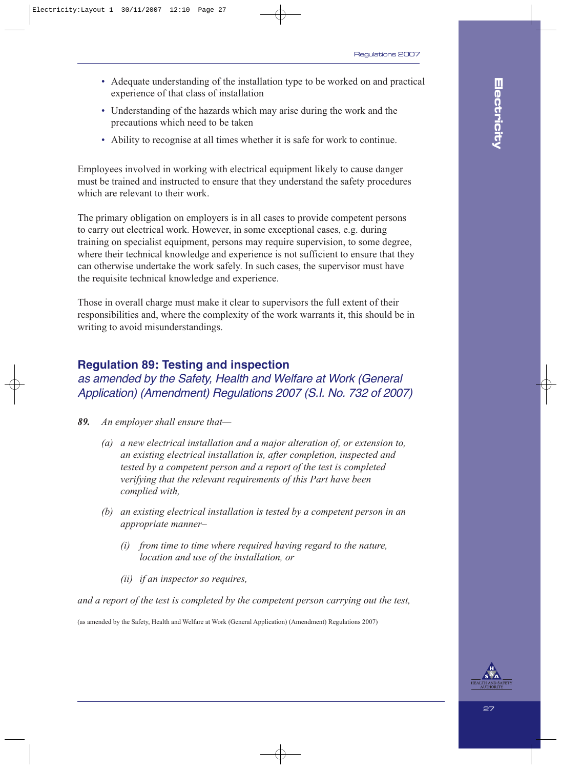- Adequate understanding of the installation type to be worked on and practical experience of that class of installation
- Understanding of the hazards which may arise during the work and the precautions which need to be taken
- Ability to recognise at all times whether it is safe for work to continue.

Employees involved in working with electrical equipment likely to cause danger must be trained and instructed to ensure that they understand the safety procedures which are relevant to their work.

The primary obligation on employers is in all cases to provide competent persons to carry out electrical work. However, in some exceptional cases, e.g. during training on specialist equipment, persons may require supervision, to some degree, where their technical knowledge and experience is not sufficient to ensure that they can otherwise undertake the work safely. In such cases, the supervisor must have the requisite technical knowledge and experience.

Those in overall charge must make it clear to supervisors the full extent of their responsibilities and, where the complexity of the work warrants it, this should be in writing to avoid misunderstandings.

#### **Regulation 89: Testing and inspection**

### as amended by the Safety, Health and Welfare at Work (General Application) (Amendment) Regulations 2007 (S.I. No. 732 of 2007)

- *89. An employer shall ensure that—*
	- *(a) a new electrical installation and a major alteration of, or extension to, an existing electrical installation is, after completion, inspected and tested by a competent person and a report of the test is completed verifying that the relevant requirements of this Part have been complied with,*
	- *(b) an existing electrical installation is tested by a competent person in an appropriate manner–*
		- *(i) from time to time where required having regard to the nature, location and use of the installation, or*
		- *(ii) if an inspector so requires,*

*and a report of the test is completed by the competent person carrying out the test,*

(as amended by the Safety, Health and Welfare at Work (General Application) (Amendment) Regulations 2007)

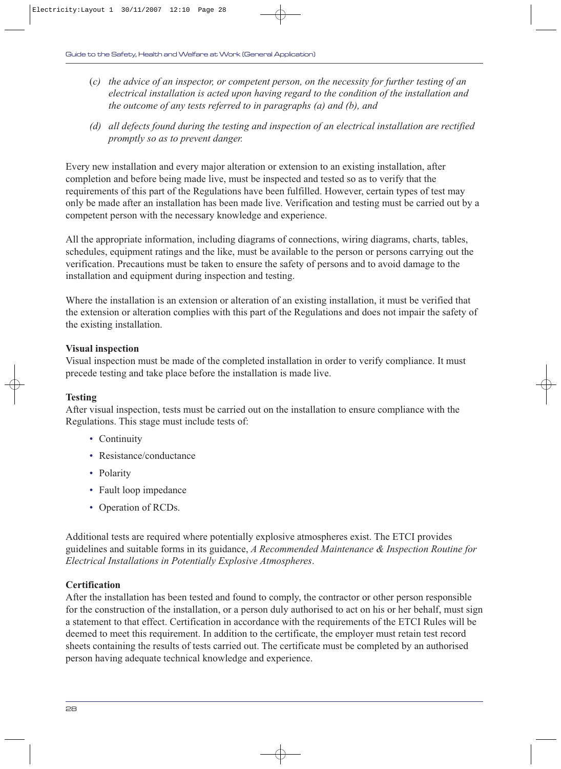- (*c) the advice of an inspector, or competent person, on the necessity for further testing of an electrical installation is acted upon having regard to the condition of the installation and the outcome of any tests referred to in paragraphs (a) and (b), and*
- *(d) all defects found during the testing and inspection of an electrical installation are rectified promptly so as to prevent danger.*

Every new installation and every major alteration or extension to an existing installation, after completion and before being made live, must be inspected and tested so as to verify that the requirements of this part of the Regulations have been fulfilled. However, certain types of test may only be made after an installation has been made live. Verification and testing must be carried out by a competent person with the necessary knowledge and experience.

All the appropriate information, including diagrams of connections, wiring diagrams, charts, tables, schedules, equipment ratings and the like, must be available to the person or persons carrying out the verification. Precautions must be taken to ensure the safety of persons and to avoid damage to the installation and equipment during inspection and testing.

Where the installation is an extension or alteration of an existing installation, it must be verified that the extension or alteration complies with this part of the Regulations and does not impair the safety of the existing installation.

#### **Visual inspection**

Visual inspection must be made of the completed installation in order to verify compliance. It must precede testing and take place before the installation is made live.

#### **Testing**

After visual inspection, tests must be carried out on the installation to ensure compliance with the Regulations. This stage must include tests of:

- Continuity
- Resistance/conductance
- Polarity
- Fault loop impedance
- Operation of RCDs.

Additional tests are required where potentially explosive atmospheres exist. The ETCI provides guidelines and suitable forms in its guidance, *A Recommended Maintenance & Inspection Routine for Electrical Installations in Potentially Explosive Atmospheres*.

#### **Certification**

After the installation has been tested and found to comply, the contractor or other person responsible for the construction of the installation, or a person duly authorised to act on his or her behalf, must sign a statement to that effect. Certification in accordance with the requirements of the ETCI Rules will be deemed to meet this requirement. In addition to the certificate, the employer must retain test record sheets containing the results of tests carried out. The certificate must be completed by an authorised person having adequate technical knowledge and experience.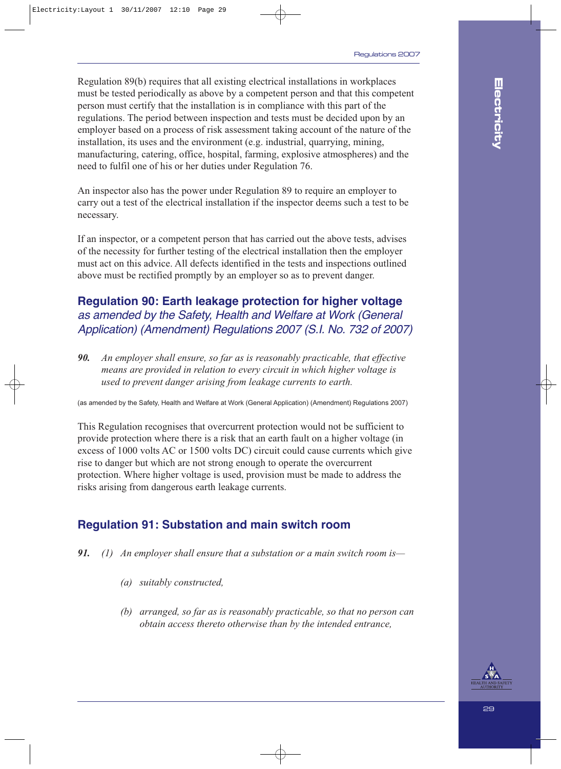Regulation 89(b) requires that all existing electrical installations in workplaces must be tested periodically as above by a competent person and that this competent person must certify that the installation is in compliance with this part of the regulations. The period between inspection and tests must be decided upon by an employer based on a process of risk assessment taking account of the nature of the installation, its uses and the environment (e.g. industrial, quarrying, mining, manufacturing, catering, office, hospital, farming, explosive atmospheres) and the need to fulfil one of his or her duties under Regulation 76.

An inspector also has the power under Regulation 89 to require an employer to carry out a test of the electrical installation if the inspector deems such a test to be necessary.

If an inspector, or a competent person that has carried out the above tests, advises of the necessity for further testing of the electrical installation then the employer must act on this advice. All defects identified in the tests and inspections outlined above must be rectified promptly by an employer so as to prevent danger.

### **Regulation 90: Earth leakage protection for higher voltage** as amended by the Safety, Health and Welfare at Work (General Application) (Amendment) Regulations 2007 (S.I. No. 732 of 2007)

*90. An employer shall ensure, so far as is reasonably practicable, that effective means are provided in relation to every circuit in which higher voltage is used to prevent danger arising from leakage currents to earth.*

(as amended by the Safety, Health and Welfare at Work (General Application) (Amendment) Regulations 2007)

This Regulation recognises that overcurrent protection would not be sufficient to provide protection where there is a risk that an earth fault on a higher voltage (in excess of 1000 volts AC or 1500 volts DC) circuit could cause currents which give rise to danger but which are not strong enough to operate the overcurrent protection. Where higher voltage is used, provision must be made to address the risks arising from dangerous earth leakage currents.

### **Regulation 91: Substation and main switch room**

- *91. (1) An employer shall ensure that a substation or a main switch room is—*
	- *(a) suitably constructed,*
	- *(b) arranged, so far as is reasonably practicable, so that no person can obtain access thereto otherwise than by the intended entrance,*

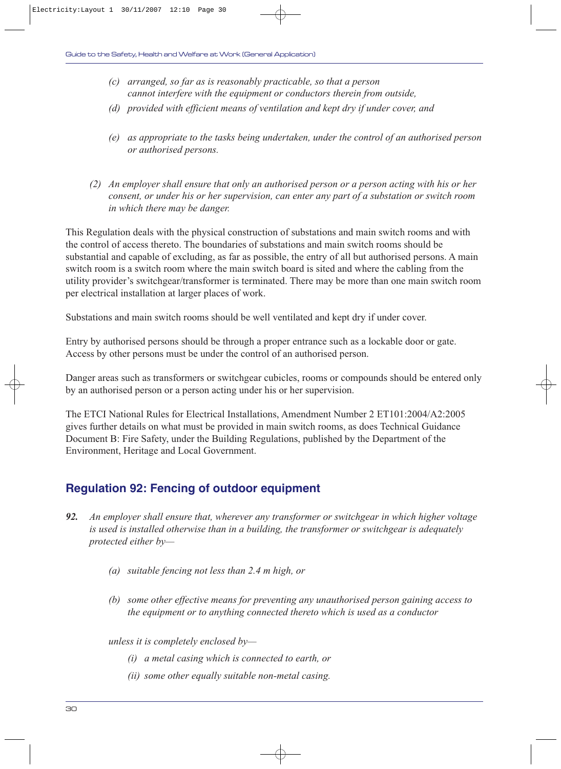- *(c) arranged, so far as is reasonably practicable, so that a person cannot interfere with the equipment or conductors therein from outside,*
- *(d) provided with efficient means of ventilation and kept dry if under cover, and*
- *(e) as appropriate to the tasks being undertaken, under the control of an authorised person or authorised persons.*
- *(2) An employer shall ensure that only an authorised person or a person acting with his or her consent, or under his or her supervision, can enter any part of a substation or switch room in which there may be danger.*

This Regulation deals with the physical construction of substations and main switch rooms and with the control of access thereto. The boundaries of substations and main switch rooms should be substantial and capable of excluding, as far as possible, the entry of all but authorised persons. A main switch room is a switch room where the main switch board is sited and where the cabling from the utility provider's switchgear/transformer is terminated. There may be more than one main switch room per electrical installation at larger places of work.

Substations and main switch rooms should be well ventilated and kept dry if under cover.

Entry by authorised persons should be through a proper entrance such as a lockable door or gate. Access by other persons must be under the control of an authorised person.

Danger areas such as transformers or switchgear cubicles, rooms or compounds should be entered only by an authorised person or a person acting under his or her supervision.

The ETCI National Rules for Electrical Installations, Amendment Number 2 ET101:2004/A2:2005 gives further details on what must be provided in main switch rooms, as does Technical Guidance Document B: Fire Safety, under the Building Regulations, published by the Department of the Environment, Heritage and Local Government.

### **Regulation 92: Fencing of outdoor equipment**

- *92. An employer shall ensure that, wherever any transformer or switchgear in which higher voltage is used is installed otherwise than in a building, the transformer or switchgear is adequately protected either by—*
	- *(a) suitable fencing not less than 2.4 m high, or*
	- *(b) some other effective means for preventing any unauthorised person gaining access to the equipment or to anything connected thereto which is used as a conductor*

*unless it is completely enclosed by—*

- *(i) a metal casing which is connected to earth, or*
- *(ii) some other equally suitable non-metal casing.*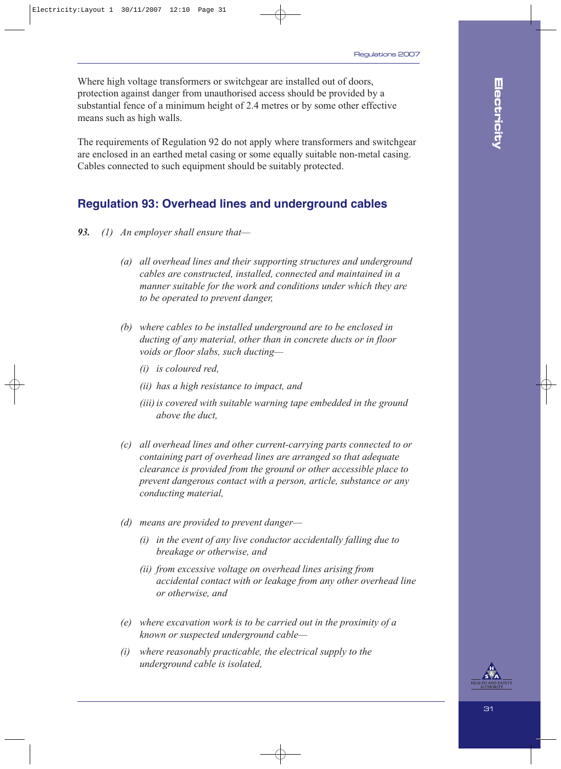Where high voltage transformers or switchgear are installed out of doors, protection against danger from unauthorised access should be provided by a substantial fence of a minimum height of 2.4 metres or by some other effective means such as high walls.

The requirements of Regulation 92 do not apply where transformers and switchgear are enclosed in an earthed metal casing or some equally suitable non-metal casing. Cables connected to such equipment should be suitably protected.

### **Regulation 93: Overhead lines and underground cables**

- *93. (1) An employer shall ensure that—*
	- *(a) all overhead lines and their supporting structures and underground cables are constructed, installed, connected and maintained in a manner suitable for the work and conditions under which they are to be operated to prevent danger,*
	- *(b) where cables to be installed underground are to be enclosed in ducting of any material, other than in concrete ducts or in floor voids or floor slabs, such ducting—*
		- *(i) is coloured red,*
		- *(ii) has a high resistance to impact, and*
		- *(iii) is covered with suitable warning tape embedded in the ground above the duct,*
	- *(c) all overhead lines and other current-carrying parts connected to or containing part of overhead lines are arranged so that adequate clearance is provided from the ground or other accessible place to prevent dangerous contact with a person, article, substance or any conducting material,*
	- *(d) means are provided to prevent danger—*
		- *(i) in the event of any live conductor accidentally falling due to breakage or otherwise, and*
		- *(ii) from excessive voltage on overhead lines arising from accidental contact with or leakage from any other overhead line or otherwise, and*
	- *(e) where excavation work is to be carried out in the proximity of a known or suspected underground cable—*
	- *(i) where reasonably practicable, the electrical supply to the underground cable is isolated,*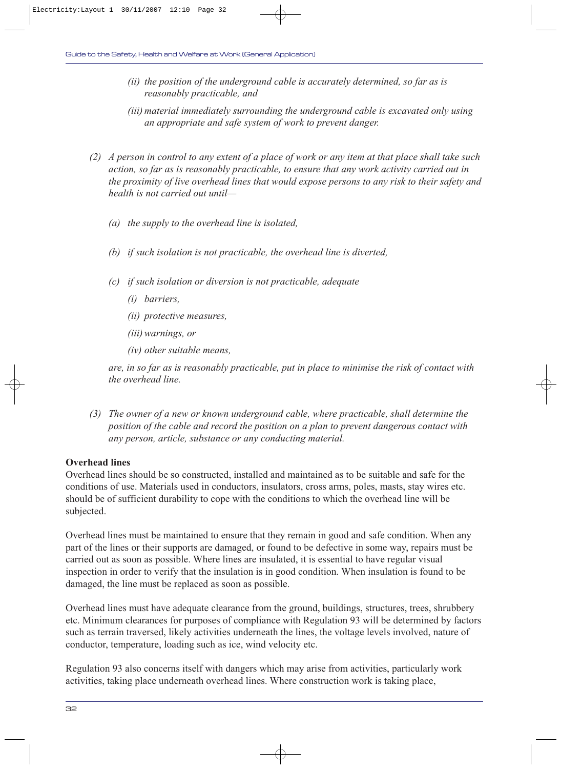- *(ii) the position of the underground cable is accurately determined, so far as is reasonably practicable, and*
- *(iii) material immediately surrounding the underground cable is excavated only using an appropriate and safe system of work to prevent danger.*
- *(2) A person in control to any extent of a place of work or any item at that place shall take such action, so far as is reasonably practicable, to ensure that any work activity carried out in the proximity of live overhead lines that would expose persons to any risk to their safety and health is not carried out until—*
	- *(a) the supply to the overhead line is isolated,*
	- *(b) if such isolation is not practicable, the overhead line is diverted,*
	- *(c) if such isolation or diversion is not practicable, adequate* 
		- *(i) barriers,*
		- *(ii) protective measures,*
		- *(iii) warnings, or*
		- *(iv) other suitable means,*

*are, in so far as is reasonably practicable, put in place to minimise the risk of contact with the overhead line.*

*(3) The owner of a new or known underground cable, where practicable, shall determine the position of the cable and record the position on a plan to prevent dangerous contact with any person, article, substance or any conducting material.*

#### **Overhead lines**

Overhead lines should be so constructed, installed and maintained as to be suitable and safe for the conditions of use. Materials used in conductors, insulators, cross arms, poles, masts, stay wires etc. should be of sufficient durability to cope with the conditions to which the overhead line will be subjected.

Overhead lines must be maintained to ensure that they remain in good and safe condition. When any part of the lines or their supports are damaged, or found to be defective in some way, repairs must be carried out as soon as possible. Where lines are insulated, it is essential to have regular visual inspection in order to verify that the insulation is in good condition. When insulation is found to be damaged, the line must be replaced as soon as possible.

Overhead lines must have adequate clearance from the ground, buildings, structures, trees, shrubbery etc. Minimum clearances for purposes of compliance with Regulation 93 will be determined by factors such as terrain traversed, likely activities underneath the lines, the voltage levels involved, nature of conductor, temperature, loading such as ice, wind velocity etc.

Regulation 93 also concerns itself with dangers which may arise from activities, particularly work activities, taking place underneath overhead lines. Where construction work is taking place,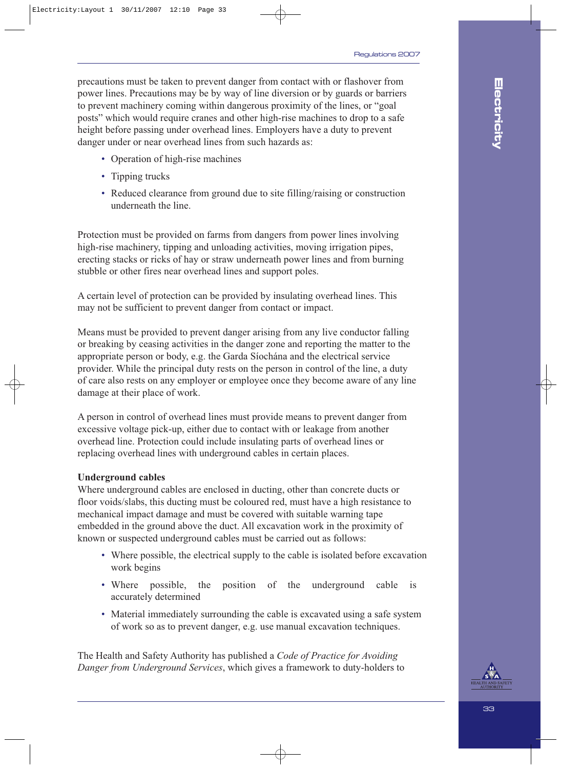precautions must be taken to prevent danger from contact with or flashover from power lines. Precautions may be by way of line diversion or by guards or barriers to prevent machinery coming within dangerous proximity of the lines, or "goal posts" which would require cranes and other high-rise machines to drop to a safe height before passing under overhead lines. Employers have a duty to prevent danger under or near overhead lines from such hazards as:

- Operation of high-rise machines
- Tipping trucks
- Reduced clearance from ground due to site filling/raising or construction underneath the line.

Protection must be provided on farms from dangers from power lines involving high-rise machinery, tipping and unloading activities, moving irrigation pipes, erecting stacks or ricks of hay or straw underneath power lines and from burning stubble or other fires near overhead lines and support poles.

A certain level of protection can be provided by insulating overhead lines. This may not be sufficient to prevent danger from contact or impact.

Means must be provided to prevent danger arising from any live conductor falling or breaking by ceasing activities in the danger zone and reporting the matter to the appropriate person or body, e.g. the Garda Síochána and the electrical service provider. While the principal duty rests on the person in control of the line, a duty of care also rests on any employer or employee once they become aware of any line damage at their place of work.

A person in control of overhead lines must provide means to prevent danger from excessive voltage pick-up, either due to contact with or leakage from another overhead line. Protection could include insulating parts of overhead lines or replacing overhead lines with underground cables in certain places.

#### **Underground cables**

Where underground cables are enclosed in ducting, other than concrete ducts or floor voids/slabs, this ducting must be coloured red, must have a high resistance to mechanical impact damage and must be covered with suitable warning tape embedded in the ground above the duct. All excavation work in the proximity of known or suspected underground cables must be carried out as follows:

- Where possible, the electrical supply to the cable is isolated before excavation work begins
- Where possible, the position of the underground cable is accurately determined
- Material immediately surrounding the cable is excavated using a safe system of work so as to prevent danger, e.g. use manual excavation techniques.

The Health and Safety Authority has published a *Code of Practice for Avoiding Danger from Underground Services*, which gives a framework to duty-holders to

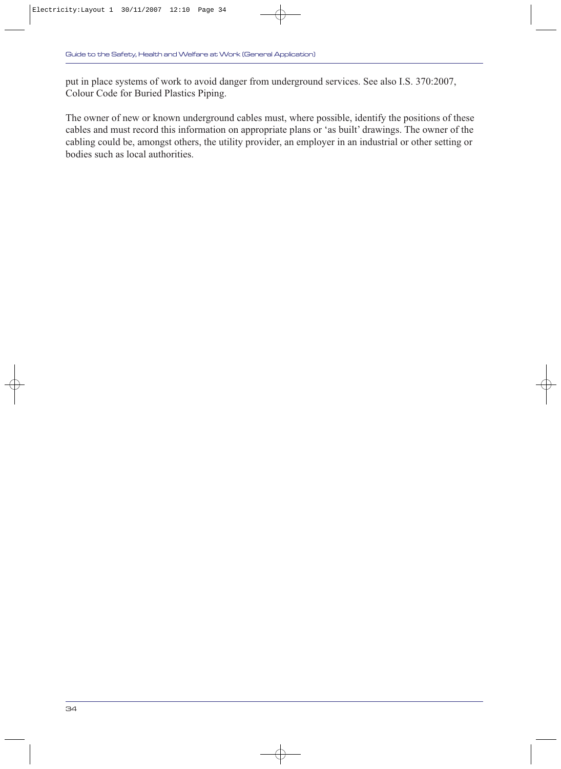put in place systems of work to avoid danger from underground services. See also I.S. 370:2007, Colour Code for Buried Plastics Piping.

The owner of new or known underground cables must, where possible, identify the positions of these cables and must record this information on appropriate plans or 'as built' drawings. The owner of the cabling could be, amongst others, the utility provider, an employer in an industrial or other setting or bodies such as local authorities.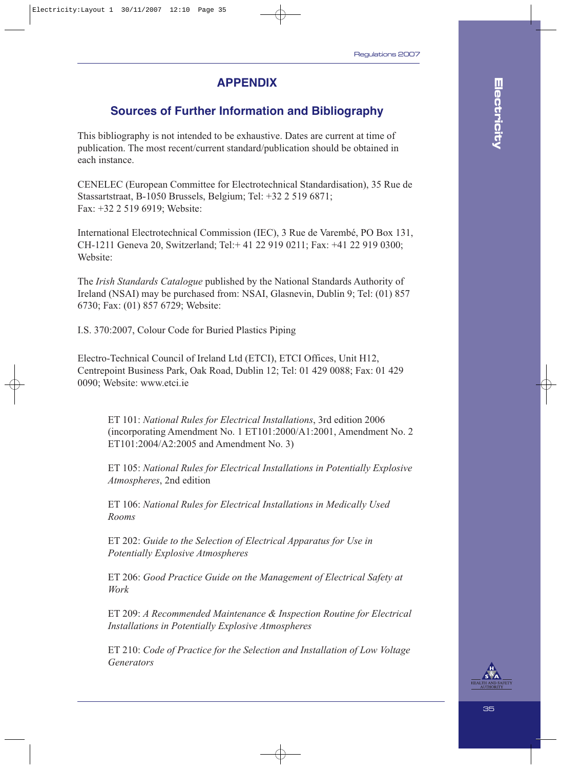### **APPENDIX**

### **Sources of Further Information and Bibliography**

This bibliography is not intended to be exhaustive. Dates are current at time of publication. The most recent/current standard/publication should be obtained in each instance.

CENELEC (European Committee for Electrotechnical Standardisation), 35 Rue de Stassartstraat, B-1050 Brussels, Belgium; Tel: +32 2 519 6871; Fax: +32 2 519 6919; Website:

International Electrotechnical Commission (IEC), 3 Rue de Varembé, PO Box 131, CH-1211 Geneva 20, Switzerland; Tel:+ 41 22 919 0211; Fax: +41 22 919 0300; Website:

The *Irish Standards Catalogue* published by the National Standards Authority of Ireland (NSAI) may be purchased from: NSAI, Glasnevin, Dublin 9; Tel: (01) 857 6730; Fax: (01) 857 6729; Website:

I.S. 370:2007, Colour Code for Buried Plastics Piping

Electro-Technical Council of Ireland Ltd (ETCI), ETCI Offices, Unit H12, Centrepoint Business Park, Oak Road, Dublin 12; Tel: 01 429 0088; Fax: 01 429 0090; Website: www.etci.ie

ET 101: *National Rules for Electrical Installations*, 3rd edition 2006 (incorporating Amendment No. 1 ET101:2000/A1:2001, Amendment No. 2 ET101:2004/A2:2005 and Amendment No. 3)

ET 105: *National Rules for Electrical Installations in Potentially Explosive Atmospheres*, 2nd edition

ET 106: *National Rules for Electrical Installations in Medically Used Rooms*

ET 202: *Guide to the Selection of Electrical Apparatus for Use in Potentially Explosive Atmospheres*

ET 206: *Good Practice Guide on the Management of Electrical Safety at Work*

ET 209: *A Recommended Maintenance & Inspection Routine for Electrical Installations in Potentially Explosive Atmospheres*

ET 210: *Code of Practice for the Selection and Installation of Low Voltage Generators*

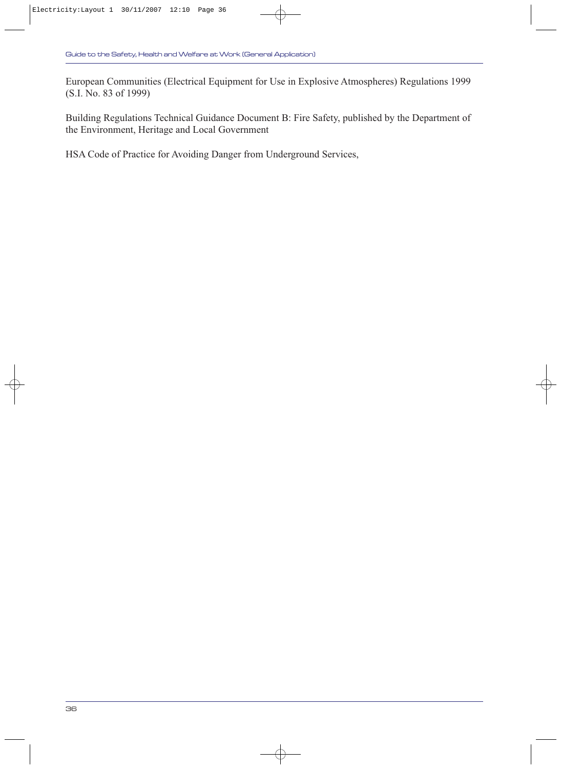European Communities (Electrical Equipment for Use in Explosive Atmospheres) Regulations 1999 (S.I. No. 83 of 1999)

Building Regulations Technical Guidance Document B: Fire Safety, published by the Department of the Environment, Heritage and Local Government

HSA Code of Practice for Avoiding Danger from Underground Services,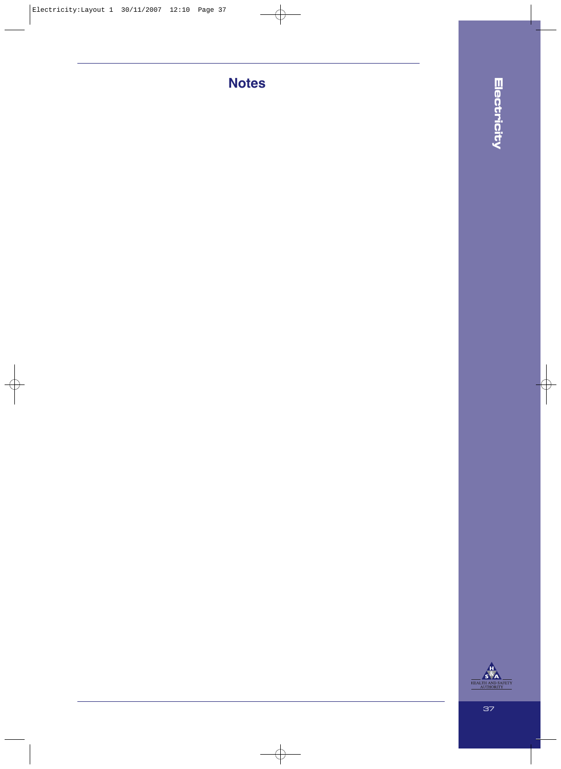# **Notes**

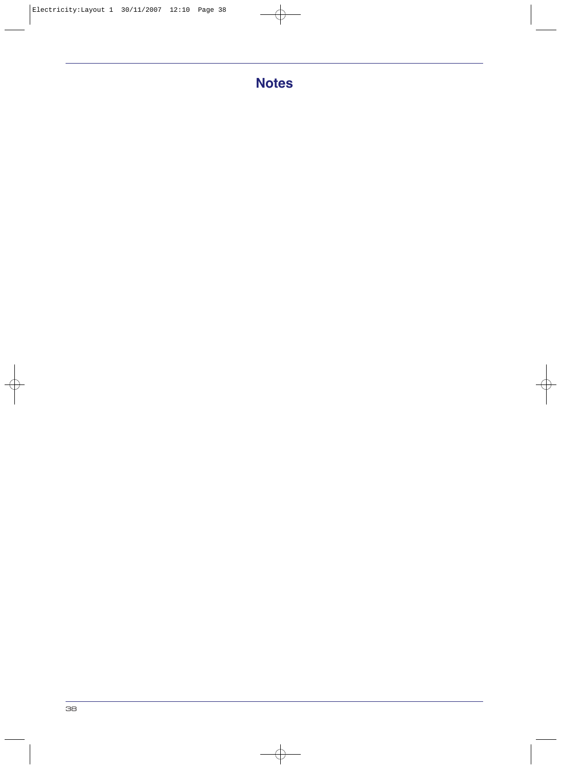# **Notes**